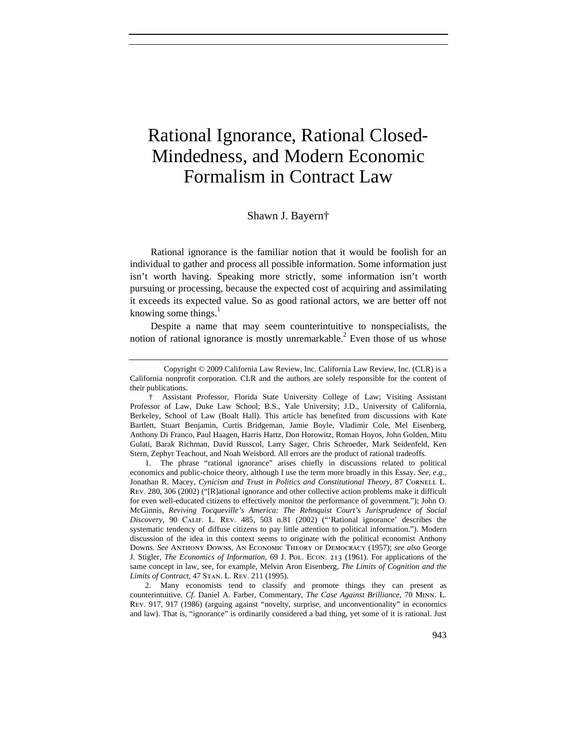# Rational Ignorance, Rational Closed-Mindedness, and Modern Economic Formalism in Contract Law

## Shawn J. Bayern†

Rational ignorance is the familiar notion that it would be foolish for an individual to gather and process all possible information. Some information just isn't worth having. Speaking more strictly, some information isn't worth pursuing or processing, because the expected cost of acquiring and assimilating it exceeds its expected value. So as good rational actors, we are better off not knowing some things. $<sup>1</sup>$ </sup>

Despite a name that may seem counterintuitive to nonspecialists, the notion of rational ignorance is mostly unremarkable.<sup>2</sup> Even those of us whose

Copyright © 2009 California Law Review, Inc. California Law Review, Inc. (CLR) is a California nonprofit corporation. CLR and the authors are solely responsible for the content of their publications.

 <sup>†</sup> Assistant Professor, Florida State University College of Law; Visiting Assistant Professor of Law, Duke Law School; B.S., Yale University; J.D., University of California, Berkeley, School of Law (Boalt Hall). This article has benefited from discussions with Kate Bartlett, Stuart Benjamin, Curtis Bridgeman, Jamie Boyle, Vladimir Cole, Mel Eisenberg, Anthony Di Franco, Paul Haagen, Harris Hartz, Don Horowitz, Roman Hoyos, John Golden, Mitu Gulati, Barak Richman, David Russcol, Larry Sager, Chris Schroeder, Mark Seidenfeld, Ken Stern, Zephyr Teachout, and Noah Weisbord. All errors are the product of rational tradeoffs.

<sup>1.</sup> The phrase "rational ignorance" arises chiefly in discussions related to political economics and public-choice theory, although I use the term more broadly in this Essay. *See, e.g.*, Jonathan R. Macey, *Cynicism and Trust in Politics and Constitutional Theory*, 87 CORNELL L. Rev. 280, 306 (2002) ("[R]ational ignorance and other collective action problems make it difficult for even well-educated citizens to effectively monitor the performance of government."); John O. McGinnis, *Reviving Tocqueville's America: The Rehnquist Court's Jurisprudence of Social Discovery*, 90 Calif. L. Rev. 485, 503 n.81 (2002) ("'Rational ignorance' describes the systematic tendency of diffuse citizens to pay little attention to political information."). Modern discussion of the idea in this context seems to originate with the political economist Anthony Downs. *See* Anthony Downs, An Economic Theory of Democracy (1957); *see also* George J. Stigler, *The Economics of Information*, 69 J. Pol. Econ. 213 (1961). For applications of the same concept in law, see, for example, Melvin Aron Eisenberg, *The Limits of Cognition and the Limits of Contract*, 47 Stan. L. Rev. 211 (1995).

<sup>2.</sup> Many economists tend to classify and promote things they can present as counterintuitive. *Cf.* Daniel A. Farber, Commentary, *The Case Against Brilliance*, 70 Minn. L. Rev. 917, 917 (1986) (arguing against "novelty, surprise, and unconventionality" in economics and law). That is, "ignorance" is ordinarily considered a bad thing, yet some of it is rational. Just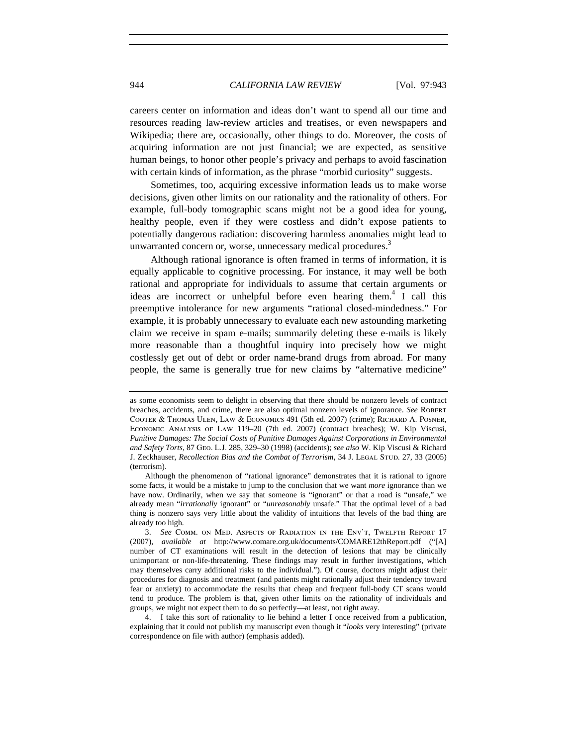careers center on information and ideas don't want to spend all our time and resources reading law-review articles and treatises, or even newspapers and Wikipedia; there are, occasionally, other things to do. Moreover, the costs of acquiring information are not just financial; we are expected, as sensitive human beings, to honor other people's privacy and perhaps to avoid fascination with certain kinds of information, as the phrase "morbid curiosity" suggests.

Sometimes, too, acquiring excessive information leads us to make worse decisions, given other limits on our rationality and the rationality of others. For example, full-body tomographic scans might not be a good idea for young, healthy people, even if they were costless and didn't expose patients to potentially dangerous radiation: discovering harmless anomalies might lead to unwarranted concern or, worse, unnecessary medical procedures.<sup>3</sup>

Although rational ignorance is often framed in terms of information, it is equally applicable to cognitive processing. For instance, it may well be both rational and appropriate for individuals to assume that certain arguments or ideas are incorrect or unhelpful before even hearing them.<sup>4</sup> I call this preemptive intolerance for new arguments "rational closed-mindedness." For example, it is probably unnecessary to evaluate each new astounding marketing claim we receive in spam e-mails; summarily deleting these e-mails is likely more reasonable than a thoughtful inquiry into precisely how we might costlessly get out of debt or order name-brand drugs from abroad. For many people, the same is generally true for new claims by "alternative medicine"

4. I take this sort of rationality to lie behind a letter I once received from a publication, explaining that it could not publish my manuscript even though it "*looks* very interesting" (private correspondence on file with author) (emphasis added).

as some economists seem to delight in observing that there should be nonzero levels of contract breaches, accidents, and crime, there are also optimal nonzero levels of ignorance. *See* ROBERT Cooter & Thomas Ulen, Law & Economics 491 (5th ed. 2007) (crime); Richard A. Posner, Economic Analysis of Law 119–20 (7th ed. 2007) (contract breaches); W. Kip Viscusi, *Punitive Damages: The Social Costs of Punitive Damages Against Corporations in Environmental and Safety Torts*, 87 Geo. L.J. 285, 329–30 (1998) (accidents); *see also* W. Kip Viscusi & Richard J. Zeckhauser, *Recollection Bias and the Combat of Terrorism*, 34 J. Legal Stup. 27, 33 (2005) (terrorism).

Although the phenomenon of "rational ignorance" demonstrates that it is rational to ignore some facts, it would be a mistake to jump to the conclusion that we want *more* ignorance than we have now. Ordinarily, when we say that someone is "ignorant" or that a road is "unsafe," we already mean "*irrationally* ignorant" or "*unreasonably* unsafe." That the optimal level of a bad thing is nonzero says very little about the validity of intuitions that levels of the bad thing are already too high.

<sup>3.</sup> *See* Comm. on Med. Aspects of Radiation in the Env't, Twelfth Report 17 (2007), *available at* http://www.comare.org.uk/documents/COMARE12thReport.pdf ("[A] number of CT examinations will result in the detection of lesions that may be clinically unimportant or non-life-threatening. These findings may result in further investigations, which may themselves carry additional risks to the individual."). Of course, doctors might adjust their procedures for diagnosis and treatment (and patients might rationally adjust their tendency toward fear or anxiety) to accommodate the results that cheap and frequent full-body CT scans would tend to produce. The problem is that, given other limits on the rationality of individuals and groups, we might not expect them to do so perfectly—at least, not right away.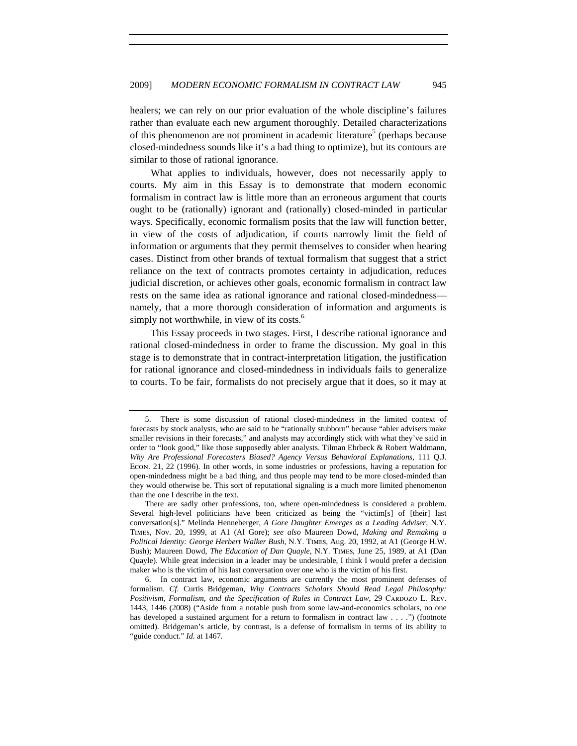healers; we can rely on our prior evaluation of the whole discipline's failures rather than evaluate each new argument thoroughly. Detailed characterizations of this phenomenon are not prominent in academic literature<sup>5</sup> (perhaps because closed-mindedness sounds like it's a bad thing to optimize), but its contours are similar to those of rational ignorance.

What applies to individuals, however, does not necessarily apply to courts. My aim in this Essay is to demonstrate that modern economic formalism in contract law is little more than an erroneous argument that courts ought to be (rationally) ignorant and (rationally) closed-minded in particular ways. Specifically, economic formalism posits that the law will function better, in view of the costs of adjudication, if courts narrowly limit the field of information or arguments that they permit themselves to consider when hearing cases. Distinct from other brands of textual formalism that suggest that a strict reliance on the text of contracts promotes certainty in adjudication, reduces judicial discretion, or achieves other goals, economic formalism in contract law rests on the same idea as rational ignorance and rational closed-mindedness namely, that a more thorough consideration of information and arguments is simply not worthwhile, in view of its costs. $<sup>6</sup>$ </sup>

This Essay proceeds in two stages. First, I describe rational ignorance and rational closed-mindedness in order to frame the discussion. My goal in this stage is to demonstrate that in contract-interpretation litigation, the justification for rational ignorance and closed-mindedness in individuals fails to generalize to courts. To be fair, formalists do not precisely argue that it does, so it may at

<sup>5.</sup> There is some discussion of rational closed-mindedness in the limited context of forecasts by stock analysts, who are said to be "rationally stubborn" because "abler advisers make smaller revisions in their forecasts," and analysts may accordingly stick with what they've said in order to "look good," like those supposedly abler analysts. Tilman Ehrbeck & Robert Waldmann, *Why Are Professional Forecasters Biased? Agency Versus Behavioral Explanations*, 111 Q.J. Econ. 21, 22 (1996). In other words, in some industries or professions, having a reputation for open-mindedness might be a bad thing, and thus people may tend to be more closed-minded than they would otherwise be. This sort of reputational signaling is a much more limited phenomenon than the one I describe in the text.

There are sadly other professions, too, where open-mindedness is considered a problem. Several high-level politicians have been criticized as being the "victim[s] of [their] last conversation[s]." Melinda Henneberger, *A Gore Daughter Emerges as a Leading Adviser*, N.Y. Times, Nov. 20, 1999, at A1 (Al Gore); *see also* Maureen Dowd, *Making and Remaking a Political Identity: George Herbert Walker Bush*, N.Y. Times, Aug. 20, 1992, at A1 (George H.W. Bush); Maureen Dowd, *The Education of Dan Quayle*, N.Y. Times, June 25, 1989, at A1 (Dan Quayle). While great indecision in a leader may be undesirable, I think I would prefer a decision maker who is the victim of his last conversation over one who is the victim of his first.

<sup>6.</sup> In contract law, economic arguments are currently the most prominent defenses of formalism. *Cf.* Curtis Bridgeman, *Why Contracts Scholars Should Read Legal Philosophy:*  Positivism, Formalism, and the Specification of Rules in Contract Law, 29 CARDOZO L. REV. 1443, 1446 (2008) ("Aside from a notable push from some law-and-economics scholars, no one has developed a sustained argument for a return to formalism in contract law . . . .") (footnote omitted). Bridgeman's article, by contrast, is a defense of formalism in terms of its ability to "guide conduct." *Id.* at 1467.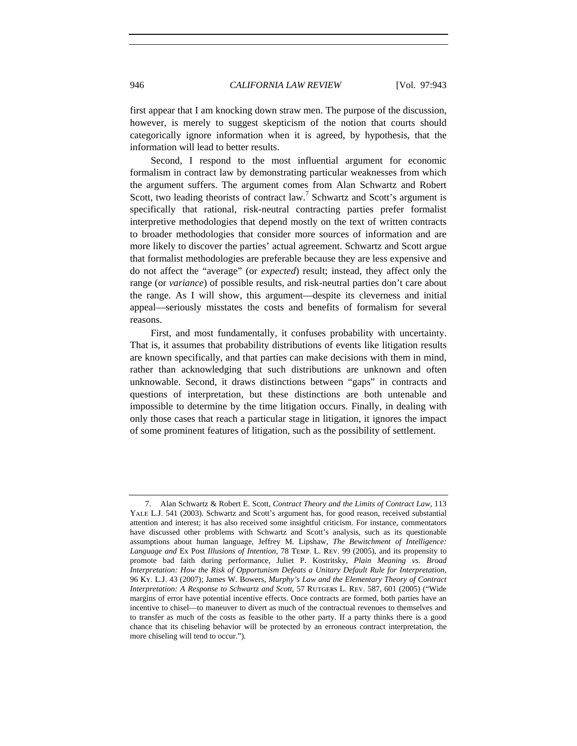first appear that I am knocking down straw men. The purpose of the discussion, however, is merely to suggest skepticism of the notion that courts should categorically ignore information when it is agreed, by hypothesis, that the information will lead to better results.

Second, I respond to the most influential argument for economic formalism in contract law by demonstrating particular weaknesses from which the argument suffers. The argument comes from Alan Schwartz and Robert Scott, two leading theorists of contract law.<sup>7</sup> Schwartz and Scott's argument is specifically that rational, risk-neutral contracting parties prefer formalist interpretive methodologies that depend mostly on the text of written contracts to broader methodologies that consider more sources of information and are more likely to discover the parties' actual agreement. Schwartz and Scott argue that formalist methodologies are preferable because they are less expensive and do not affect the "average" (or *expected*) result; instead, they affect only the range (or *variance*) of possible results, and risk-neutral parties don't care about the range. As I will show, this argument—despite its cleverness and initial appeal—seriously misstates the costs and benefits of formalism for several reasons.

First, and most fundamentally, it confuses probability with uncertainty. That is, it assumes that probability distributions of events like litigation results are known specifically, and that parties can make decisions with them in mind, rather than acknowledging that such distributions are unknown and often unknowable. Second, it draws distinctions between "gaps" in contracts and questions of interpretation, but these distinctions are both untenable and impossible to determine by the time litigation occurs. Finally, in dealing with only those cases that reach a particular stage in litigation, it ignores the impact of some prominent features of litigation, such as the possibility of settlement.

<sup>7.</sup> Alan Schwartz & Robert E. Scott, *Contract Theory and the Limits of Contract Law*, 113 Yale L.J. 541 (2003). Schwartz and Scott's argument has, for good reason, received substantial attention and interest; it has also received some insightful criticism. For instance, commentators have discussed other problems with Schwartz and Scott's analysis, such as its questionable assumptions about human language, Jeffrey M. Lipshaw, *The Bewitchment of Intelligence: Language and* Ex Post *Illusions of Intention,* 78 Temp. L. Rev. 99 (2005), and its propensity to promote bad faith during performance, Juliet P. Kostritsky, *Plain Meaning vs. Broad Interpretation: How the Risk of Opportunism Defeats a Unitary Default Rule for Interpretation*, 96 Ky. L.J. 43 (2007); James W. Bowers, *Murphy's Law and the Elementary Theory of Contract Interpretation: A Response to Schwartz and Scott*, 57 RUTGERS L. REV. 587, 601 (2005) ("Wide margins of error have potential incentive effects. Once contracts are formed, both parties have an incentive to chisel—to maneuver to divert as much of the contractual revenues to themselves and to transfer as much of the costs as feasible to the other party. If a party thinks there is a good chance that its chiseling behavior will be protected by an erroneous contract interpretation, the more chiseling will tend to occur.").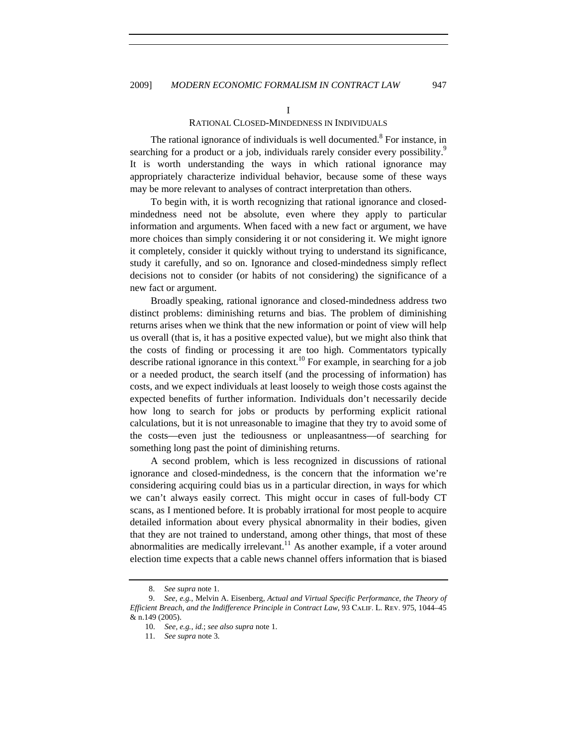I

## RATIONAL CLOSED-MINDEDNESS IN INDIVIDUALS

The rational ignorance of individuals is well documented.<sup>8</sup> For instance, in searching for a product or a job, individuals rarely consider every possibility.<sup>9</sup> It is worth understanding the ways in which rational ignorance may appropriately characterize individual behavior, because some of these ways may be more relevant to analyses of contract interpretation than others.

To begin with, it is worth recognizing that rational ignorance and closedmindedness need not be absolute, even where they apply to particular information and arguments. When faced with a new fact or argument, we have more choices than simply considering it or not considering it. We might ignore it completely, consider it quickly without trying to understand its significance, study it carefully, and so on. Ignorance and closed-mindedness simply reflect decisions not to consider (or habits of not considering) the significance of a new fact or argument.

Broadly speaking, rational ignorance and closed-mindedness address two distinct problems: diminishing returns and bias. The problem of diminishing returns arises when we think that the new information or point of view will help us overall (that is, it has a positive expected value), but we might also think that the costs of finding or processing it are too high. Commentators typically describe rational ignorance in this context.<sup>10</sup> For example, in searching for a job or a needed product, the search itself (and the processing of information) has costs, and we expect individuals at least loosely to weigh those costs against the expected benefits of further information. Individuals don't necessarily decide how long to search for jobs or products by performing explicit rational calculations, but it is not unreasonable to imagine that they try to avoid some of the costs—even just the tediousness or unpleasantness—of searching for something long past the point of diminishing returns.

A second problem, which is less recognized in discussions of rational ignorance and closed-mindedness, is the concern that the information we're considering acquiring could bias us in a particular direction, in ways for which we can't always easily correct. This might occur in cases of full-body CT scans, as I mentioned before. It is probably irrational for most people to acquire detailed information about every physical abnormality in their bodies, given that they are not trained to understand, among other things, that most of these abnormalities are medically irrelevant.<sup>11</sup> As another example, if a voter around election time expects that a cable news channel offers information that is biased

 <sup>8.</sup> *See supra* note 1.

 <sup>9.</sup> *See, e.g.*, Melvin A. Eisenberg, *Actual and Virtual Specific Performance, the Theory of Efficient Breach, and the Indifference Principle in Contract Law*, 93 Calif. L. Rev. 975, 1044–45 & n.149 (2005).

<sup>10.</sup> *See, e.g.*, *id.*; *see also supra* note 1.

<sup>11.</sup> *See supra* note 3.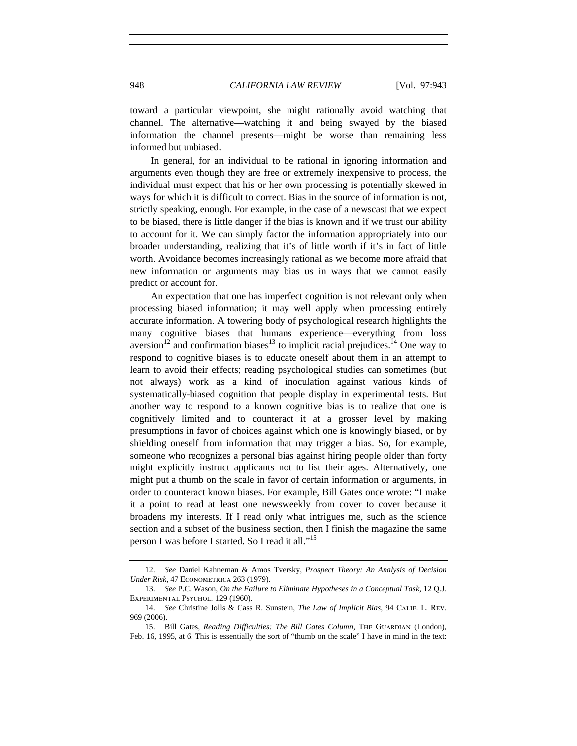toward a particular viewpoint, she might rationally avoid watching that channel. The alternative—watching it and being swayed by the biased information the channel presents—might be worse than remaining less informed but unbiased.

In general, for an individual to be rational in ignoring information and arguments even though they are free or extremely inexpensive to process, the individual must expect that his or her own processing is potentially skewed in ways for which it is difficult to correct. Bias in the source of information is not, strictly speaking, enough. For example, in the case of a newscast that we expect to be biased, there is little danger if the bias is known and if we trust our ability to account for it. We can simply factor the information appropriately into our broader understanding, realizing that it's of little worth if it's in fact of little worth. Avoidance becomes increasingly rational as we become more afraid that new information or arguments may bias us in ways that we cannot easily predict or account for.

An expectation that one has imperfect cognition is not relevant only when processing biased information; it may well apply when processing entirely accurate information. A towering body of psychological research highlights the many cognitive biases that humans experience—everything from loss aversion<sup>12</sup> and confirmation biases<sup>13</sup> to implicit racial prejudices.<sup>14</sup> One way to respond to cognitive biases is to educate oneself about them in an attempt to learn to avoid their effects; reading psychological studies can sometimes (but not always) work as a kind of inoculation against various kinds of systematically-biased cognition that people display in experimental tests. But another way to respond to a known cognitive bias is to realize that one is cognitively limited and to counteract it at a grosser level by making presumptions in favor of choices against which one is knowingly biased, or by shielding oneself from information that may trigger a bias. So, for example, someone who recognizes a personal bias against hiring people older than forty might explicitly instruct applicants not to list their ages. Alternatively, one might put a thumb on the scale in favor of certain information or arguments, in order to counteract known biases. For example, Bill Gates once wrote: "I make it a point to read at least one newsweekly from cover to cover because it broadens my interests. If I read only what intrigues me, such as the science section and a subset of the business section, then I finish the magazine the same person I was before I started. So I read it all."<sup>15</sup>

<sup>12.</sup> *See* Daniel Kahneman & Amos Tversky, *Prospect Theory: An Analysis of Decision Under Risk*, 47 ECONOMETRICA 263 (1979).

<sup>13.</sup> *See* P.C. Wason, *On the Failure to Eliminate Hypotheses in a Conceptual Task*, 12 Q.J. EXPERIMENTAL PSYCHOL. 129 (1960).

<sup>14.</sup> *See* Christine Jolls & Cass R. Sunstein, *The Law of Implicit Bias*, 94 Calif. L. Rev. 969 (2006).

<sup>15.</sup> Bill Gates, *Reading Difficulties: The Bill Gates Column*, THE GUARDIAN (London), Feb. 16, 1995, at 6. This is essentially the sort of "thumb on the scale" I have in mind in the text: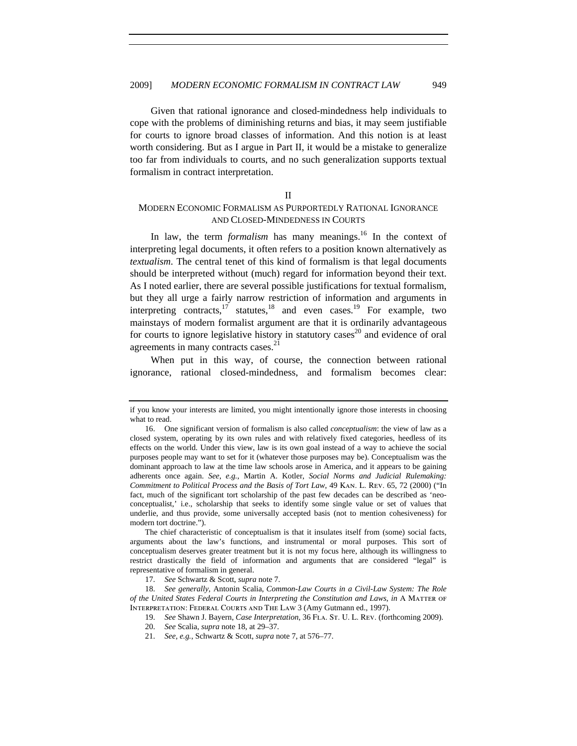Given that rational ignorance and closed-mindedness help individuals to cope with the problems of diminishing returns and bias, it may seem justifiable for courts to ignore broad classes of information. And this notion is at least worth considering. But as I argue in Part II, it would be a mistake to generalize too far from individuals to courts, and no such generalization supports textual formalism in contract interpretation.

#### II

# MODERN ECONOMIC FORMALISM AS PURPORTEDLY RATIONAL IGNORANCE AND CLOSED-MINDEDNESS IN COURTS

In law, the term *formalism* has many meanings.<sup>16</sup> In the context of interpreting legal documents, it often refers to a position known alternatively as *textualism*. The central tenet of this kind of formalism is that legal documents should be interpreted without (much) regard for information beyond their text. As I noted earlier, there are several possible justifications for textual formalism, but they all urge a fairly narrow restriction of information and arguments in interpreting contracts, $17$  statutes, $18$  and even cases.<sup>19</sup> For example, two mainstays of modern formalist argument are that it is ordinarily advantageous for courts to ignore legislative history in statutory cases<sup>20</sup> and evidence of oral agreements in many contracts cases.<sup>21</sup>

When put in this way, of course, the connection between rational ignorance, rational closed-mindedness, and formalism becomes clear:

The chief characteristic of conceptualism is that it insulates itself from (some) social facts, arguments about the law's functions, and instrumental or moral purposes. This sort of conceptualism deserves greater treatment but it is not my focus here, although its willingness to restrict drastically the field of information and arguments that are considered "legal" is representative of formalism in general.

if you know your interests are limited, you might intentionally ignore those interests in choosing what to read.

<sup>16.</sup> One significant version of formalism is also called *conceptualism*: the view of law as a closed system, operating by its own rules and with relatively fixed categories, heedless of its effects on the world. Under this view, law is its own goal instead of a way to achieve the social purposes people may want to set for it (whatever those purposes may be). Conceptualism was the dominant approach to law at the time law schools arose in America, and it appears to be gaining adherents once again. *See*, *e.g.*, Martin A. Kotler, *Social Norms and Judicial Rulemaking: Commitment to Political Process and the Basis of Tort Law*, 49 Kan. L. Rev. 65, 72 (2000) ("In fact, much of the significant tort scholarship of the past few decades can be described as 'neoconceptualist,' i.e., scholarship that seeks to identify some single value or set of values that underlie, and thus provide, some universally accepted basis (not to mention cohesiveness) for modern tort doctrine.").

<sup>17.</sup> *See* Schwartz & Scott, *supra* note 7.

<sup>18.</sup> *See generally,* Antonin Scalia, *Common-Law Courts in a Civil-Law System: The Role of the United States Federal Courts in Interpreting the Constitution and Laws*, *in* A Matter of Interpretation: Federal Courts and The Law 3 (Amy Gutmann ed., 1997).

<sup>19.</sup> *See* Shawn J. Bayern, *Case Interpretation*, 36 Fla. St. U. L. Rev. (forthcoming 2009).

<sup>20.</sup> *See* Scalia, *supra* note 18, at 29–37.

<sup>21.</sup> *See, e.g.*, Schwartz & Scott, *supra* note 7, at 576–77.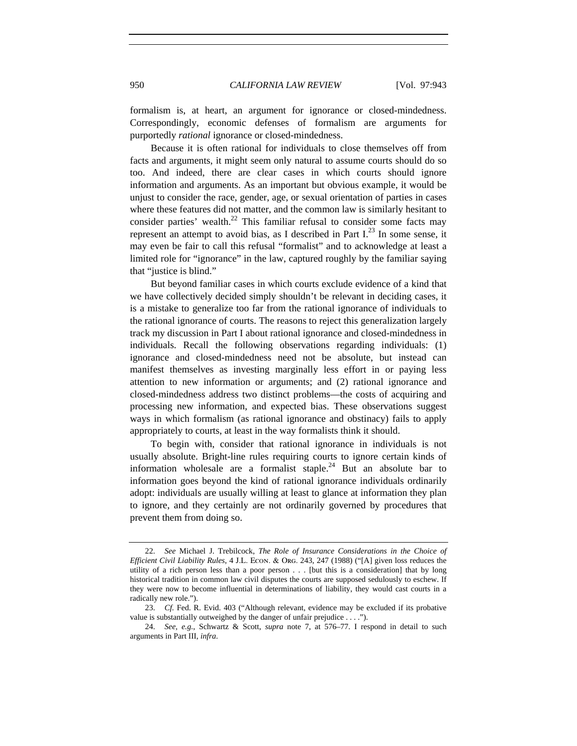formalism is, at heart, an argument for ignorance or closed-mindedness. Correspondingly, economic defenses of formalism are arguments for purportedly *rational* ignorance or closed-mindedness.

Because it is often rational for individuals to close themselves off from facts and arguments, it might seem only natural to assume courts should do so too. And indeed, there are clear cases in which courts should ignore information and arguments. As an important but obvious example, it would be unjust to consider the race, gender, age, or sexual orientation of parties in cases where these features did not matter, and the common law is similarly hesitant to consider parties' wealth.<sup>22</sup> This familiar refusal to consider some facts may represent an attempt to avoid bias, as I described in Part  $I^{23}$ . In some sense, it may even be fair to call this refusal "formalist" and to acknowledge at least a limited role for "ignorance" in the law, captured roughly by the familiar saying that "justice is blind."

But beyond familiar cases in which courts exclude evidence of a kind that we have collectively decided simply shouldn't be relevant in deciding cases, it is a mistake to generalize too far from the rational ignorance of individuals to the rational ignorance of courts. The reasons to reject this generalization largely track my discussion in Part I about rational ignorance and closed-mindedness in individuals. Recall the following observations regarding individuals: (1) ignorance and closed-mindedness need not be absolute, but instead can manifest themselves as investing marginally less effort in or paying less attention to new information or arguments; and (2) rational ignorance and closed-mindedness address two distinct problems—the costs of acquiring and processing new information, and expected bias. These observations suggest ways in which formalism (as rational ignorance and obstinacy) fails to apply appropriately to courts, at least in the way formalists think it should.

To begin with, consider that rational ignorance in individuals is not usually absolute. Bright-line rules requiring courts to ignore certain kinds of information wholesale are a formalist staple.<sup>24</sup> But an absolute bar to information goes beyond the kind of rational ignorance individuals ordinarily adopt: individuals are usually willing at least to glance at information they plan to ignore, and they certainly are not ordinarily governed by procedures that prevent them from doing so.

<sup>22.</sup> *See* Michael J. Trebilcock, *The Role of Insurance Considerations in the Choice of Efficient Civil Liability Rules*, 4 J.L. Econ. & Org. 243, 247 (1988) ("[A] given loss reduces the utility of a rich person less than a poor person . . . [but this is a consideration] that by long historical tradition in common law civil disputes the courts are supposed sedulously to eschew. If they were now to become influential in determinations of liability, they would cast courts in a radically new role.").

<sup>23.</sup> *Cf.* Fed. R. Evid. 403 ("Although relevant, evidence may be excluded if its probative value is substantially outweighed by the danger of unfair prejudice . . . .").

<sup>24.</sup> *See, e.g*., Schwartz & Scott, *supra* note 7, at 576–77. I respond in detail to such arguments in Part III, *infra*.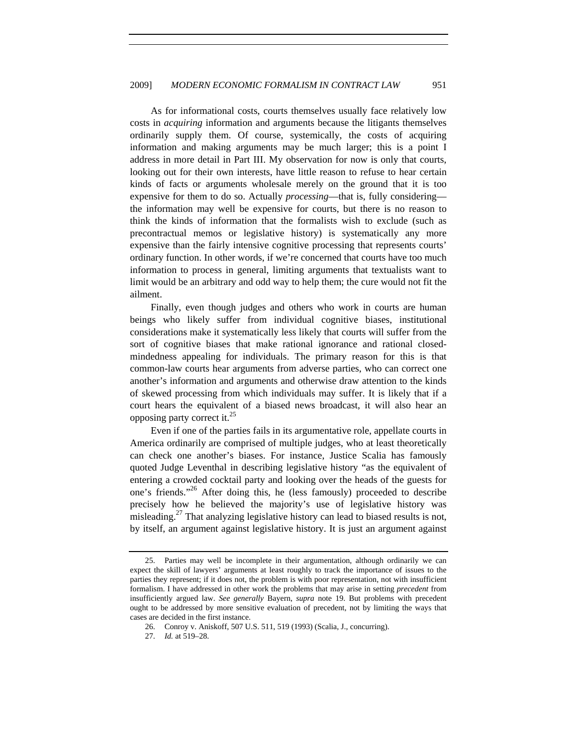As for informational costs, courts themselves usually face relatively low costs in *acquiring* information and arguments because the litigants themselves ordinarily supply them. Of course, systemically, the costs of acquiring information and making arguments may be much larger; this is a point I address in more detail in Part III. My observation for now is only that courts, looking out for their own interests, have little reason to refuse to hear certain kinds of facts or arguments wholesale merely on the ground that it is too expensive for them to do so. Actually *processing*—that is, fully considering the information may well be expensive for courts, but there is no reason to think the kinds of information that the formalists wish to exclude (such as precontractual memos or legislative history) is systematically any more expensive than the fairly intensive cognitive processing that represents courts' ordinary function. In other words, if we're concerned that courts have too much information to process in general, limiting arguments that textualists want to limit would be an arbitrary and odd way to help them; the cure would not fit the ailment.

Finally, even though judges and others who work in courts are human beings who likely suffer from individual cognitive biases, institutional considerations make it systematically less likely that courts will suffer from the sort of cognitive biases that make rational ignorance and rational closedmindedness appealing for individuals. The primary reason for this is that common-law courts hear arguments from adverse parties, who can correct one another's information and arguments and otherwise draw attention to the kinds of skewed processing from which individuals may suffer. It is likely that if a court hears the equivalent of a biased news broadcast, it will also hear an opposing party correct it.<sup>25</sup>

Even if one of the parties fails in its argumentative role, appellate courts in America ordinarily are comprised of multiple judges, who at least theoretically can check one another's biases. For instance, Justice Scalia has famously quoted Judge Leventhal in describing legislative history "as the equivalent of entering a crowded cocktail party and looking over the heads of the guests for one's friends."<sup>26</sup> After doing this, he (less famously) proceeded to describe precisely how he believed the majority's use of legislative history was misleading.<sup>27</sup> That analyzing legislative history can lead to biased results is not, by itself, an argument against legislative history. It is just an argument against

<sup>25.</sup> Parties may well be incomplete in their argumentation, although ordinarily we can expect the skill of lawyers' arguments at least roughly to track the importance of issues to the parties they represent; if it does not, the problem is with poor representation, not with insufficient formalism. I have addressed in other work the problems that may arise in setting *precedent* from insufficiently argued law. *See generally* Bayern, *supra* note 19. But problems with precedent ought to be addressed by more sensitive evaluation of precedent, not by limiting the ways that cases are decided in the first instance.

<sup>26.</sup> Conroy v. Aniskoff, 507 U.S. 511, 519 (1993) (Scalia, J., concurring).

<sup>27.</sup> *Id.* at 519–28.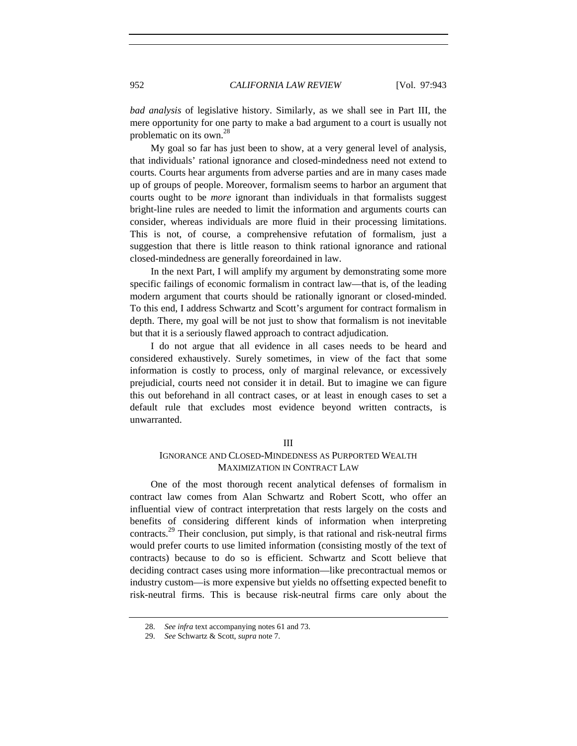*bad analysis* of legislative history. Similarly, as we shall see in Part III, the mere opportunity for one party to make a bad argument to a court is usually not problematic on its own.<sup>28</sup>

My goal so far has just been to show, at a very general level of analysis, that individuals' rational ignorance and closed-mindedness need not extend to courts. Courts hear arguments from adverse parties and are in many cases made up of groups of people. Moreover, formalism seems to harbor an argument that courts ought to be *more* ignorant than individuals in that formalists suggest bright-line rules are needed to limit the information and arguments courts can consider, whereas individuals are more fluid in their processing limitations. This is not, of course, a comprehensive refutation of formalism, just a suggestion that there is little reason to think rational ignorance and rational closed-mindedness are generally foreordained in law.

In the next Part, I will amplify my argument by demonstrating some more specific failings of economic formalism in contract law—that is, of the leading modern argument that courts should be rationally ignorant or closed-minded. To this end, I address Schwartz and Scott's argument for contract formalism in depth. There, my goal will be not just to show that formalism is not inevitable but that it is a seriously flawed approach to contract adjudication.

I do not argue that all evidence in all cases needs to be heard and considered exhaustively. Surely sometimes, in view of the fact that some information is costly to process, only of marginal relevance, or excessively prejudicial, courts need not consider it in detail. But to imagine we can figure this out beforehand in all contract cases, or at least in enough cases to set a default rule that excludes most evidence beyond written contracts, is unwarranted.

#### III

# IGNORANCE AND CLOSED-MINDEDNESS AS PURPORTED WEALTH MAXIMIZATION IN CONTRACT LAW

One of the most thorough recent analytical defenses of formalism in contract law comes from Alan Schwartz and Robert Scott, who offer an influential view of contract interpretation that rests largely on the costs and benefits of considering different kinds of information when interpreting contracts.<sup>29</sup> Their conclusion, put simply, is that rational and risk-neutral firms would prefer courts to use limited information (consisting mostly of the text of contracts) because to do so is efficient. Schwartz and Scott believe that deciding contract cases using more information—like precontractual memos or industry custom—is more expensive but yields no offsetting expected benefit to risk-neutral firms. This is because risk-neutral firms care only about the

<sup>28.</sup> *See infra* text accompanying notes 61 and 73.

<sup>29.</sup> *See* Schwartz & Scott, *supra* note 7.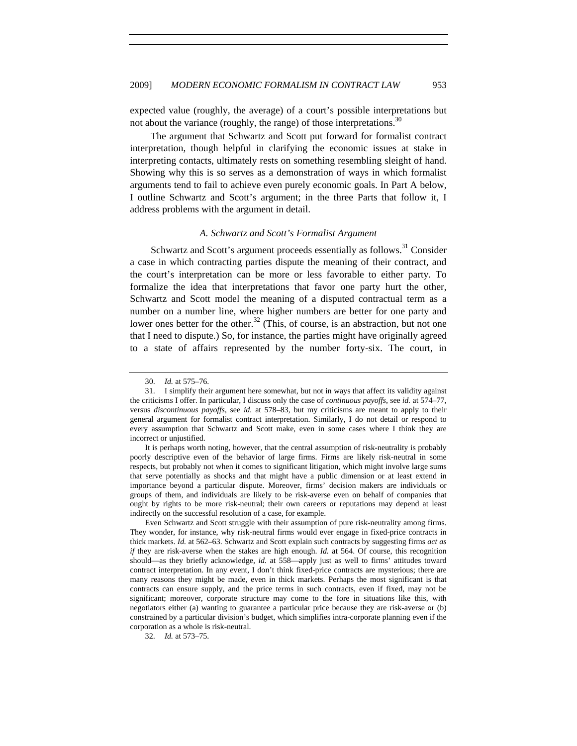expected value (roughly, the average) of a court's possible interpretations but not about the variance (roughly, the range) of those interpretations.<sup>30</sup>

The argument that Schwartz and Scott put forward for formalist contract interpretation, though helpful in clarifying the economic issues at stake in interpreting contacts, ultimately rests on something resembling sleight of hand. Showing why this is so serves as a demonstration of ways in which formalist arguments tend to fail to achieve even purely economic goals. In Part A below, I outline Schwartz and Scott's argument; in the three Parts that follow it, I address problems with the argument in detail.

#### *A. Schwartz and Scott's Formalist Argument*

Schwartz and Scott's argument proceeds essentially as follows.<sup>31</sup> Consider a case in which contracting parties dispute the meaning of their contract, and the court's interpretation can be more or less favorable to either party. To formalize the idea that interpretations that favor one party hurt the other, Schwartz and Scott model the meaning of a disputed contractual term as a number on a number line, where higher numbers are better for one party and lower ones better for the other.<sup>32</sup> (This, of course, is an abstraction, but not one that I need to dispute.) So, for instance, the parties might have originally agreed to a state of affairs represented by the number forty-six. The court, in

It is perhaps worth noting, however, that the central assumption of risk-neutrality is probably poorly descriptive even of the behavior of large firms. Firms are likely risk-neutral in some respects, but probably not when it comes to significant litigation, which might involve large sums that serve potentially as shocks and that might have a public dimension or at least extend in importance beyond a particular dispute. Moreover, firms' decision makers are individuals or groups of them, and individuals are likely to be risk-averse even on behalf of companies that ought by rights to be more risk-neutral; their own careers or reputations may depend at least indirectly on the successful resolution of a case, for example.

Even Schwartz and Scott struggle with their assumption of pure risk-neutrality among firms. They wonder, for instance, why risk-neutral firms would ever engage in fixed-price contracts in thick markets. *Id.* at 562–63. Schwartz and Scott explain such contracts by suggesting firms *act as if* they are risk-averse when the stakes are high enough. *Id.* at 564. Of course, this recognition should—as they briefly acknowledge, *id.* at 558—apply just as well to firms' attitudes toward contract interpretation. In any event, I don't think fixed-price contracts are mysterious; there are many reasons they might be made, even in thick markets. Perhaps the most significant is that contracts can ensure supply, and the price terms in such contracts, even if fixed, may not be significant; moreover, corporate structure may come to the fore in situations like this, with negotiators either (a) wanting to guarantee a particular price because they are risk-averse or (b) constrained by a particular division's budget, which simplifies intra-corporate planning even if the corporation as a whole is risk-neutral.

32. *Id.* at 573–75.

<sup>30.</sup> *Id.* at 575–76.

<sup>31.</sup> I simplify their argument here somewhat, but not in ways that affect its validity against the criticisms I offer. In particular, I discuss only the case of *continuous payoffs*, see *id.* at 574–77, versus *discontinuous payoffs*, see *id.* at 578–83, but my criticisms are meant to apply to their general argument for formalist contract interpretation. Similarly, I do not detail or respond to every assumption that Schwartz and Scott make, even in some cases where I think they are incorrect or unjustified.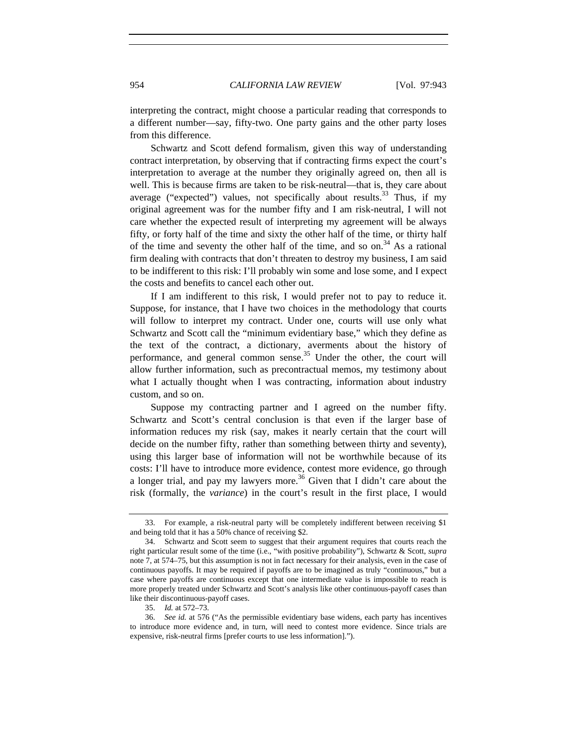interpreting the contract, might choose a particular reading that corresponds to a different number—say, fifty-two. One party gains and the other party loses from this difference.

Schwartz and Scott defend formalism, given this way of understanding contract interpretation, by observing that if contracting firms expect the court's interpretation to average at the number they originally agreed on, then all is well. This is because firms are taken to be risk-neutral—that is, they care about average ("expected") values, not specifically about results.<sup>33</sup> Thus, if my original agreement was for the number fifty and I am risk-neutral, I will not care whether the expected result of interpreting my agreement will be always fifty, or forty half of the time and sixty the other half of the time, or thirty half of the time and seventy the other half of the time, and so on.<sup>34</sup> As a rational firm dealing with contracts that don't threaten to destroy my business, I am said to be indifferent to this risk: I'll probably win some and lose some, and I expect the costs and benefits to cancel each other out.

If I am indifferent to this risk, I would prefer not to pay to reduce it. Suppose, for instance, that I have two choices in the methodology that courts will follow to interpret my contract. Under one, courts will use only what Schwartz and Scott call the "minimum evidentiary base," which they define as the text of the contract, a dictionary, averments about the history of performance, and general common sense.<sup>35</sup> Under the other, the court will allow further information, such as precontractual memos, my testimony about what I actually thought when I was contracting, information about industry custom, and so on.

Suppose my contracting partner and I agreed on the number fifty. Schwartz and Scott's central conclusion is that even if the larger base of information reduces my risk (say, makes it nearly certain that the court will decide on the number fifty, rather than something between thirty and seventy), using this larger base of information will not be worthwhile because of its costs: I'll have to introduce more evidence, contest more evidence, go through a longer trial, and pay my lawyers more.<sup>36</sup> Given that I didn't care about the risk (formally, the *variance*) in the court's result in the first place, I would

<sup>33.</sup> For example, a risk-neutral party will be completely indifferent between receiving \$1 and being told that it has a 50% chance of receiving \$2.

<sup>34.</sup> Schwartz and Scott seem to suggest that their argument requires that courts reach the right particular result some of the time (i.e., "with positive probability"), Schwartz & Scott, *supra* note 7, at 574–75, but this assumption is not in fact necessary for their analysis, even in the case of continuous payoffs. It may be required if payoffs are to be imagined as truly "continuous," but a case where payoffs are continuous except that one intermediate value is impossible to reach is more properly treated under Schwartz and Scott's analysis like other continuous-payoff cases than like their discontinuous-payoff cases.

<sup>35.</sup> *Id.* at 572–73.

<sup>36.</sup> *See id.* at 576 ("As the permissible evidentiary base widens, each party has incentives to introduce more evidence and, in turn, will need to contest more evidence. Since trials are expensive, risk-neutral firms [prefer courts to use less information].").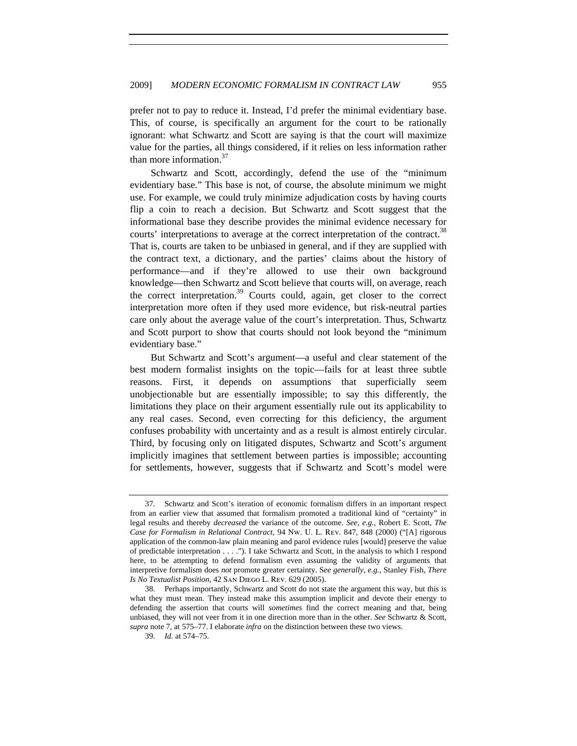prefer not to pay to reduce it. Instead, I'd prefer the minimal evidentiary base. This, of course, is specifically an argument for the court to be rationally ignorant: what Schwartz and Scott are saying is that the court will maximize value for the parties, all things considered, if it relies on less information rather than more information.<sup>37</sup>

Schwartz and Scott, accordingly, defend the use of the "minimum evidentiary base." This base is not, of course, the absolute minimum we might use. For example, we could truly minimize adjudication costs by having courts flip a coin to reach a decision. But Schwartz and Scott suggest that the informational base they describe provides the minimal evidence necessary for courts' interpretations to average at the correct interpretation of the contract.<sup>38</sup> That is, courts are taken to be unbiased in general, and if they are supplied with the contract text, a dictionary, and the parties' claims about the history of performance—and if they're allowed to use their own background knowledge—then Schwartz and Scott believe that courts will, on average, reach the correct interpretation.<sup>39</sup> Courts could, again, get closer to the correct interpretation more often if they used more evidence, but risk-neutral parties care only about the average value of the court's interpretation. Thus, Schwartz and Scott purport to show that courts should not look beyond the "minimum evidentiary base."

But Schwartz and Scott's argument—a useful and clear statement of the best modern formalist insights on the topic—fails for at least three subtle reasons. First, it depends on assumptions that superficially seem unobjectionable but are essentially impossible; to say this differently, the limitations they place on their argument essentially rule out its applicability to any real cases. Second, even correcting for this deficiency, the argument confuses probability with uncertainty and as a result is almost entirely circular. Third, by focusing only on litigated disputes, Schwartz and Scott's argument implicitly imagines that settlement between parties is impossible; accounting for settlements, however, suggests that if Schwartz and Scott's model were

<sup>37.</sup> Schwartz and Scott's iteration of economic formalism differs in an important respect from an earlier view that assumed that formalism promoted a traditional kind of "certainty" in legal results and thereby *decreased* the variance of the outcome. *See, e.g.*, Robert E. Scott, *The Case for Formalism in Relational Contract*, 94 Nw. U. L. Rev. 847, 848 (2000) ("[A] rigorous application of the common-law plain meaning and parol evidence rules [would] preserve the value of predictable interpretation . . . ."). I take Schwartz and Scott, in the analysis to which I respond here, to be attempting to defend formalism even assuming the validity of arguments that interpretive formalism does *not* promote greater certainty. S*ee generally, e.g.*, Stanley Fish, *There Is No Textualist Position,* 42 San Diego L. Rev. 629 (2005).

<sup>38.</sup> Perhaps importantly, Schwartz and Scott do not state the argument this way, but this is what they must mean. They instead make this assumption implicit and devote their energy to defending the assertion that courts will *sometimes* find the correct meaning and that, being unbiased, they will not veer from it in one direction more than in the other. *See* Schwartz & Scott, *supra* note 7, at 575–77. I elaborate *infra* on the distinction between these two views.

<sup>39.</sup> *Id.* at 574–75.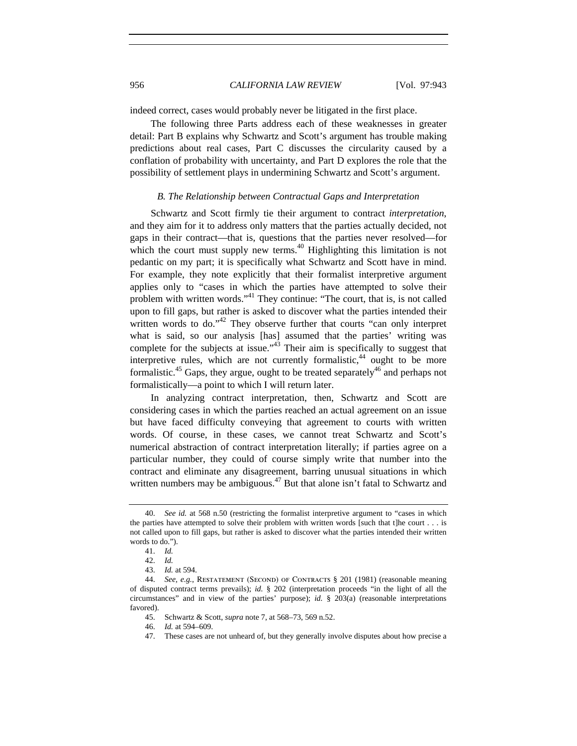indeed correct, cases would probably never be litigated in the first place.

The following three Parts address each of these weaknesses in greater detail: Part B explains why Schwartz and Scott's argument has trouble making predictions about real cases, Part C discusses the circularity caused by a conflation of probability with uncertainty, and Part D explores the role that the possibility of settlement plays in undermining Schwartz and Scott's argument.

#### *B. The Relationship between Contractual Gaps and Interpretation*

Schwartz and Scott firmly tie their argument to contract *interpretation*, and they aim for it to address only matters that the parties actually decided, not gaps in their contract—that is, questions that the parties never resolved—for which the court must supply new terms. $40$  Highlighting this limitation is not pedantic on my part; it is specifically what Schwartz and Scott have in mind. For example, they note explicitly that their formalist interpretive argument applies only to "cases in which the parties have attempted to solve their problem with written words."<sup>41</sup> They continue: "The court, that is, is not called upon to fill gaps, but rather is asked to discover what the parties intended their written words to do."<sup>42</sup> They observe further that courts "can only interpret what is said, so our analysis [has] assumed that the parties' writing was complete for the subjects at issue."<sup>43</sup> Their aim is specifically to suggest that interpretive rules, which are not currently formalistic,  $44$  ought to be more formalistic.<sup>45</sup> Gaps, they argue, ought to be treated separately<sup>46</sup> and perhaps not formalistically—a point to which I will return later.

In analyzing contract interpretation, then, Schwartz and Scott are considering cases in which the parties reached an actual agreement on an issue but have faced difficulty conveying that agreement to courts with written words. Of course, in these cases, we cannot treat Schwartz and Scott's numerical abstraction of contract interpretation literally; if parties agree on a particular number, they could of course simply write that number into the contract and eliminate any disagreement, barring unusual situations in which written numbers may be ambiguous.<sup>47</sup> But that alone isn't fatal to Schwartz and

<sup>40.</sup> *See id.* at 568 n.50 (restricting the formalist interpretive argument to "cases in which the parties have attempted to solve their problem with written words [such that t]he court  $\dots$  is not called upon to fill gaps, but rather is asked to discover what the parties intended their written words to do.").

<sup>41.</sup> *Id.*

<sup>42.</sup> *Id.*

<sup>43.</sup> *Id.* at 594.

<sup>44.</sup> *See, e.g.*, Restatement (Second) of Contracts § 201 (1981) (reasonable meaning of disputed contract terms prevails); *id.* § 202 (interpretation proceeds "in the light of all the circumstances" and in view of the parties' purpose); *id.* § 203(a) (reasonable interpretations favored).

<sup>45.</sup> Schwartz & Scott, *supra* note 7, at 568–73, 569 n.52.

<sup>46.</sup> *Id.* at 594–609.

<sup>47.</sup> These cases are not unheard of, but they generally involve disputes about how precise a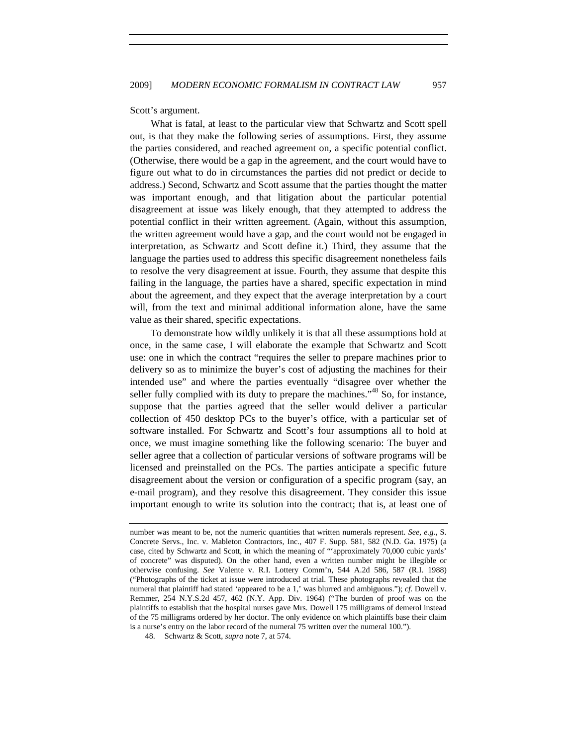Scott's argument.

What is fatal, at least to the particular view that Schwartz and Scott spell out, is that they make the following series of assumptions. First, they assume the parties considered, and reached agreement on, a specific potential conflict. (Otherwise, there would be a gap in the agreement, and the court would have to figure out what to do in circumstances the parties did not predict or decide to address.) Second, Schwartz and Scott assume that the parties thought the matter was important enough, and that litigation about the particular potential disagreement at issue was likely enough, that they attempted to address the potential conflict in their written agreement. (Again, without this assumption, the written agreement would have a gap, and the court would not be engaged in interpretation, as Schwartz and Scott define it.) Third, they assume that the language the parties used to address this specific disagreement nonetheless fails to resolve the very disagreement at issue. Fourth, they assume that despite this failing in the language, the parties have a shared, specific expectation in mind about the agreement, and they expect that the average interpretation by a court will, from the text and minimal additional information alone, have the same value as their shared, specific expectations.

To demonstrate how wildly unlikely it is that all these assumptions hold at once, in the same case, I will elaborate the example that Schwartz and Scott use: one in which the contract "requires the seller to prepare machines prior to delivery so as to minimize the buyer's cost of adjusting the machines for their intended use" and where the parties eventually "disagree over whether the seller fully complied with its duty to prepare the machines."<sup>48</sup> So, for instance, suppose that the parties agreed that the seller would deliver a particular collection of 450 desktop PCs to the buyer's office, with a particular set of software installed. For Schwartz and Scott's four assumptions all to hold at once, we must imagine something like the following scenario: The buyer and seller agree that a collection of particular versions of software programs will be licensed and preinstalled on the PCs. The parties anticipate a specific future disagreement about the version or configuration of a specific program (say, an e-mail program), and they resolve this disagreement. They consider this issue important enough to write its solution into the contract; that is, at least one of

number was meant to be, not the numeric quantities that written numerals represent. *See, e.g.*, S. Concrete Servs., Inc. v. Mableton Contractors, Inc., 407 F. Supp. 581, 582 (N.D. Ga. 1975) (a case, cited by Schwartz and Scott, in which the meaning of "'approximately 70,000 cubic yards' of concrete" was disputed). On the other hand, even a written number might be illegible or otherwise confusing. *See* Valente v. R.I. Lottery Comm'n, 544 A.2d 586, 587 (R.I. 1988) ("Photographs of the ticket at issue were introduced at trial. These photographs revealed that the numeral that plaintiff had stated 'appeared to be a 1,' was blurred and ambiguous."); *cf.* Dowell v. Remmer, 254 N.Y.S.2d 457, 462 (N.Y. App. Div. 1964) ("The burden of proof was on the plaintiffs to establish that the hospital nurses gave Mrs. Dowell 175 milligrams of demerol instead of the 75 milligrams ordered by her doctor. The only evidence on which plaintiffs base their claim is a nurse's entry on the labor record of the numeral 75 written over the numeral 100.").

<sup>48.</sup> Schwartz & Scott, *supra* note 7, at 574.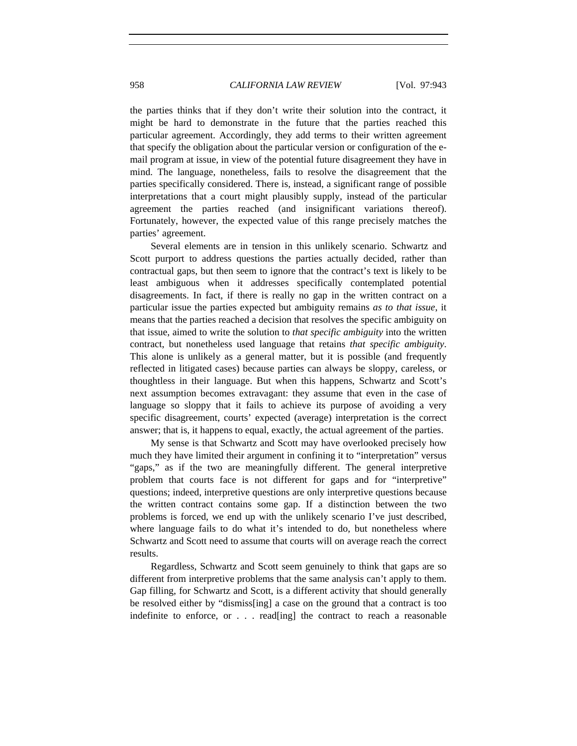the parties thinks that if they don't write their solution into the contract, it might be hard to demonstrate in the future that the parties reached this particular agreement. Accordingly, they add terms to their written agreement that specify the obligation about the particular version or configuration of the email program at issue, in view of the potential future disagreement they have in mind. The language, nonetheless, fails to resolve the disagreement that the parties specifically considered. There is, instead, a significant range of possible interpretations that a court might plausibly supply, instead of the particular agreement the parties reached (and insignificant variations thereof). Fortunately, however, the expected value of this range precisely matches the parties' agreement.

Several elements are in tension in this unlikely scenario. Schwartz and Scott purport to address questions the parties actually decided, rather than contractual gaps, but then seem to ignore that the contract's text is likely to be least ambiguous when it addresses specifically contemplated potential disagreements. In fact, if there is really no gap in the written contract on a particular issue the parties expected but ambiguity remains *as to that issue*, it means that the parties reached a decision that resolves the specific ambiguity on that issue, aimed to write the solution to *that specific ambiguity* into the written contract, but nonetheless used language that retains *that specific ambiguity*. This alone is unlikely as a general matter, but it is possible (and frequently reflected in litigated cases) because parties can always be sloppy, careless, or thoughtless in their language. But when this happens, Schwartz and Scott's next assumption becomes extravagant: they assume that even in the case of language so sloppy that it fails to achieve its purpose of avoiding a very specific disagreement, courts' expected (average) interpretation is the correct answer; that is, it happens to equal, exactly, the actual agreement of the parties.

My sense is that Schwartz and Scott may have overlooked precisely how much they have limited their argument in confining it to "interpretation" versus "gaps," as if the two are meaningfully different. The general interpretive problem that courts face is not different for gaps and for "interpretive" questions; indeed, interpretive questions are only interpretive questions because the written contract contains some gap. If a distinction between the two problems is forced, we end up with the unlikely scenario I've just described, where language fails to do what it's intended to do, but nonetheless where Schwartz and Scott need to assume that courts will on average reach the correct results.

Regardless, Schwartz and Scott seem genuinely to think that gaps are so different from interpretive problems that the same analysis can't apply to them. Gap filling, for Schwartz and Scott, is a different activity that should generally be resolved either by "dismiss[ing] a case on the ground that a contract is too indefinite to enforce, or . . . read[ing] the contract to reach a reasonable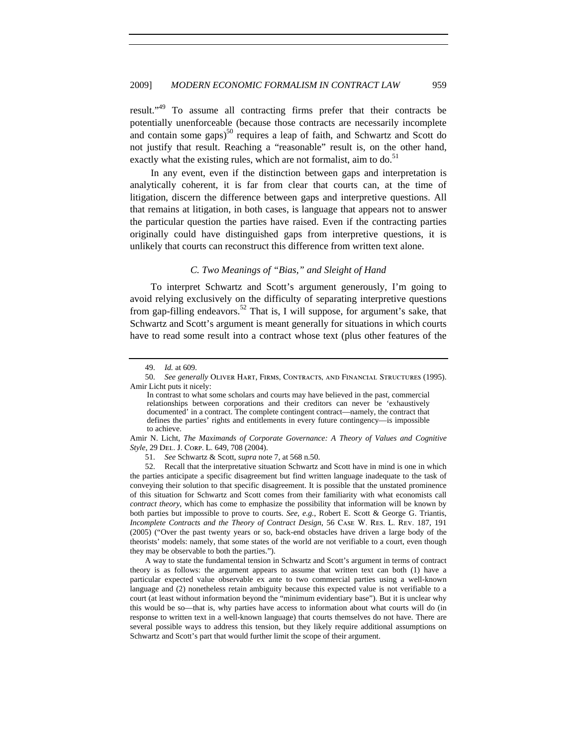result."49 To assume all contracting firms prefer that their contracts be potentially unenforceable (because those contracts are necessarily incomplete and contain some gaps $5^{0}$  requires a leap of faith, and Schwartz and Scott do not justify that result. Reaching a "reasonable" result is, on the other hand, exactly what the existing rules, which are not formalist, aim to do.<sup>51</sup>

In any event, even if the distinction between gaps and interpretation is analytically coherent, it is far from clear that courts can, at the time of litigation, discern the difference between gaps and interpretive questions. All that remains at litigation, in both cases, is language that appears not to answer the particular question the parties have raised. Even if the contracting parties originally could have distinguished gaps from interpretive questions, it is unlikely that courts can reconstruct this difference from written text alone.

### *C. Two Meanings of "Bias," and Sleight of Hand*

To interpret Schwartz and Scott's argument generously, I'm going to avoid relying exclusively on the difficulty of separating interpretive questions from gap-filling endeavors.<sup>52</sup> That is, I will suppose, for argument's sake, that Schwartz and Scott's argument is meant generally for situations in which courts have to read some result into a contract whose text (plus other features of the

Amir N. Licht, *The Maximands of Corporate Governance: A Theory of Values and Cognitive Style*, 29 Del. J. Corp. L. 649, 708 (2004).

51. *See* Schwartz & Scott, *supra* note 7, at 568 n.50.

52. Recall that the interpretative situation Schwartz and Scott have in mind is one in which the parties anticipate a specific disagreement but find written language inadequate to the task of conveying their solution to that specific disagreement. It is possible that the unstated prominence of this situation for Schwartz and Scott comes from their familiarity with what economists call *contract theory*, which has come to emphasize the possibility that information will be known by both parties but impossible to prove to courts. *See, e.g.*, Robert E. Scott & George G. Triantis, *Incomplete Contracts and the Theory of Contract Design*, 56 Case W. Res. L. Rev. 187, 191 (2005) ("Over the past twenty years or so, back-end obstacles have driven a large body of the theorists' models: namely, that some states of the world are not verifiable to a court, even though they may be observable to both the parties.").

A way to state the fundamental tension in Schwartz and Scott's argument in terms of contract theory is as follows: the argument appears to assume that written text can both (1) have a particular expected value observable ex ante to two commercial parties using a well-known language and (2) nonetheless retain ambiguity because this expected value is not verifiable to a court (at least without information beyond the "minimum evidentiary base"). But it is unclear why this would be so—that is, why parties have access to information about what courts will do (in response to written text in a well-known language) that courts themselves do not have. There are several possible ways to address this tension, but they likely require additional assumptions on Schwartz and Scott's part that would further limit the scope of their argument.

<sup>49.</sup> *Id.* at 609.

<sup>50.</sup> *See generally* Oliver Hart, Firms, Contracts, and Financial Structures (1995). Amir Licht puts it nicely:

In contrast to what some scholars and courts may have believed in the past, commercial relationships between corporations and their creditors can never be 'exhaustively documented' in a contract. The complete contingent contract—namely, the contract that defines the parties' rights and entitlements in every future contingency—is impossible to achieve.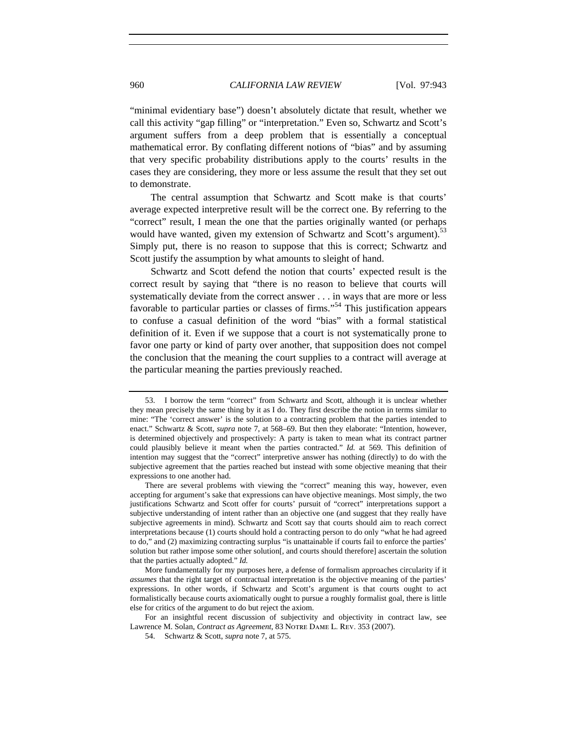"minimal evidentiary base") doesn't absolutely dictate that result, whether we call this activity "gap filling" or "interpretation." Even so, Schwartz and Scott's argument suffers from a deep problem that is essentially a conceptual mathematical error. By conflating different notions of "bias" and by assuming that very specific probability distributions apply to the courts' results in the cases they are considering, they more or less assume the result that they set out to demonstrate.

The central assumption that Schwartz and Scott make is that courts' average expected interpretive result will be the correct one. By referring to the "correct" result, I mean the one that the parties originally wanted (or perhaps would have wanted, given my extension of Schwartz and Scott's argument).<sup>53</sup> Simply put, there is no reason to suppose that this is correct; Schwartz and Scott justify the assumption by what amounts to sleight of hand.

Schwartz and Scott defend the notion that courts' expected result is the correct result by saying that "there is no reason to believe that courts will systematically deviate from the correct answer . . . in ways that are more or less favorable to particular parties or classes of firms."<sup>54</sup> This justification appears to confuse a casual definition of the word "bias" with a formal statistical definition of it. Even if we suppose that a court is not systematically prone to favor one party or kind of party over another, that supposition does not compel the conclusion that the meaning the court supplies to a contract will average at the particular meaning the parties previously reached.

<sup>53.</sup> I borrow the term "correct" from Schwartz and Scott, although it is unclear whether they mean precisely the same thing by it as I do. They first describe the notion in terms similar to mine: "The 'correct answer' is the solution to a contracting problem that the parties intended to enact." Schwartz & Scott, *supra* note 7, at 568–69. But then they elaborate: "Intention, however, is determined objectively and prospectively: A party is taken to mean what its contract partner could plausibly believe it meant when the parties contracted." *Id.* at 569. This definition of intention may suggest that the "correct" interpretive answer has nothing (directly) to do with the subjective agreement that the parties reached but instead with some objective meaning that their expressions to one another had.

There are several problems with viewing the "correct" meaning this way, however, even accepting for argument's sake that expressions can have objective meanings. Most simply, the two justifications Schwartz and Scott offer for courts' pursuit of "correct" interpretations support a subjective understanding of intent rather than an objective one (and suggest that they really have subjective agreements in mind). Schwartz and Scott say that courts should aim to reach correct interpretations because (1) courts should hold a contracting person to do only "what he had agreed to do," and (2) maximizing contracting surplus "is unattainable if courts fail to enforce the parties' solution but rather impose some other solution<sup>[</sup>, and courts should therefore] ascertain the solution that the parties actually adopted." *Id.*

More fundamentally for my purposes here, a defense of formalism approaches circularity if it *assumes* that the right target of contractual interpretation is the objective meaning of the parties' expressions. In other words, if Schwartz and Scott's argument is that courts ought to act formalistically because courts axiomatically ought to pursue a roughly formalist goal, there is little else for critics of the argument to do but reject the axiom.

For an insightful recent discussion of subjectivity and objectivity in contract law, see Lawrence M. Solan, *Contract as Agreement*, 83 Notre Dame L. Rev. 353 (2007).

<sup>54.</sup> Schwartz & Scott, *supra* note 7, at 575.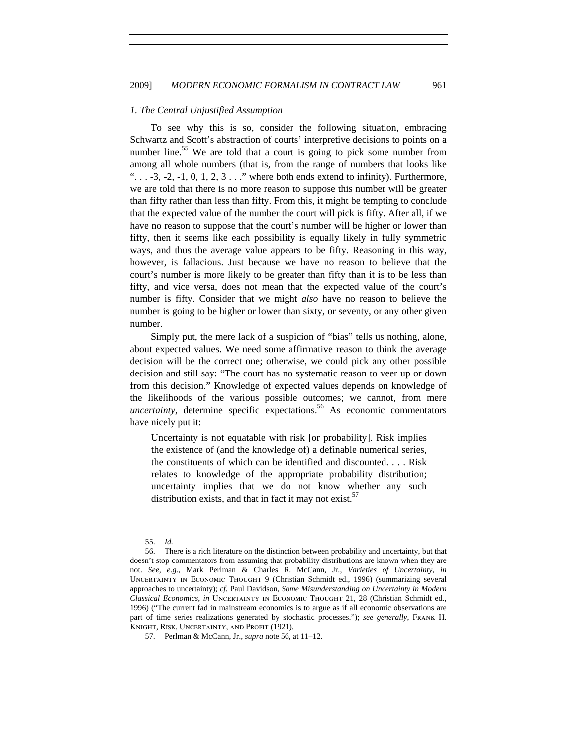#### *1. The Central Unjustified Assumption*

To see why this is so, consider the following situation, embracing Schwartz and Scott's abstraction of courts' interpretive decisions to points on a number line.<sup>55</sup> We are told that a court is going to pick some number from among all whole numbers (that is, from the range of numbers that looks like " $\ldots$  -3, -2, -1, 0, 1, 2, 3  $\ldots$ " where both ends extend to infinity). Furthermore, we are told that there is no more reason to suppose this number will be greater than fifty rather than less than fifty. From this, it might be tempting to conclude that the expected value of the number the court will pick is fifty. After all, if we have no reason to suppose that the court's number will be higher or lower than fifty, then it seems like each possibility is equally likely in fully symmetric ways, and thus the average value appears to be fifty. Reasoning in this way, however, is fallacious. Just because we have no reason to believe that the court's number is more likely to be greater than fifty than it is to be less than fifty, and vice versa, does not mean that the expected value of the court's number is fifty. Consider that we might *also* have no reason to believe the number is going to be higher or lower than sixty, or seventy, or any other given number.

Simply put, the mere lack of a suspicion of "bias" tells us nothing, alone, about expected values. We need some affirmative reason to think the average decision will be the correct one; otherwise, we could pick any other possible decision and still say: "The court has no systematic reason to veer up or down from this decision." Knowledge of expected values depends on knowledge of the likelihoods of the various possible outcomes; we cannot, from mere  $uncertainty$ , determine specific expectations.<sup>56</sup> As economic commentators have nicely put it:

Uncertainty is not equatable with risk [or probability]. Risk implies the existence of (and the knowledge of) a definable numerical series, the constituents of which can be identified and discounted. . . . Risk relates to knowledge of the appropriate probability distribution; uncertainty implies that we do not know whether any such distribution exists, and that in fact it may not exist. $57$ 

<sup>55.</sup> *Id.*

<sup>56.</sup> There is a rich literature on the distinction between probability and uncertainty, but that doesn't stop commentators from assuming that probability distributions are known when they are not. *See, e.g.*, Mark Perlman & Charles R. McCann, Jr., *Varieties of Uncertainty*, *in*  Uncertainty in Economic Thought 9 (Christian Schmidt ed., 1996) (summarizing several approaches to uncertainty); *cf.* Paul Davidson, *Some Misunderstanding on Uncertainty in Modern Classical Economics*, *in* Uncertainty in Economic Thought 21, 28 (Christian Schmidt ed., 1996) ("The current fad in mainstream economics is to argue as if all economic observations are part of time series realizations generated by stochastic processes."); *see generally*, Frank H. KNIGHT, RISK, UNCERTAINTY, AND PROFIT (1921).

<sup>57.</sup> Perlman & McCann, Jr., *supra* note 56, at 11–12.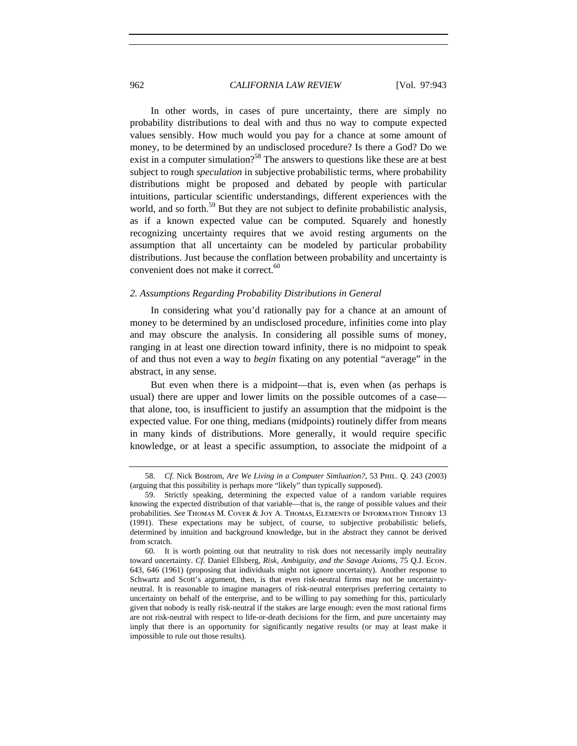In other words, in cases of pure uncertainty, there are simply no probability distributions to deal with and thus no way to compute expected values sensibly. How much would you pay for a chance at some amount of money, to be determined by an undisclosed procedure? Is there a God? Do we exist in a computer simulation?<sup>58</sup> The answers to questions like these are at best subject to rough *speculation* in subjective probabilistic terms, where probability distributions might be proposed and debated by people with particular intuitions, particular scientific understandings, different experiences with the world, and so forth.<sup>59</sup> But they are not subject to definite probabilistic analysis, as if a known expected value can be computed. Squarely and honestly recognizing uncertainty requires that we avoid resting arguments on the assumption that all uncertainty can be modeled by particular probability distributions. Just because the conflation between probability and uncertainty is convenient does not make it correct.<sup>60</sup>

#### *2. Assumptions Regarding Probability Distributions in General*

In considering what you'd rationally pay for a chance at an amount of money to be determined by an undisclosed procedure, infinities come into play and may obscure the analysis. In considering all possible sums of money, ranging in at least one direction toward infinity, there is no midpoint to speak of and thus not even a way to *begin* fixating on any potential "average" in the abstract, in any sense.

But even when there is a midpoint—that is, even when (as perhaps is usual) there are upper and lower limits on the possible outcomes of a case that alone, too, is insufficient to justify an assumption that the midpoint is the expected value. For one thing, medians (midpoints) routinely differ from means in many kinds of distributions. More generally, it would require specific knowledge, or at least a specific assumption, to associate the midpoint of a

<sup>58.</sup> *Cf.* Nick Bostrom, *Are We Living in a Computer Simluation?*, 53 Phil. Q. 243 (2003) (arguing that this possibility is perhaps more "likely" than typically supposed).

<sup>59.</sup> Strictly speaking, determining the expected value of a random variable requires knowing the expected distribution of that variable—that is, the range of possible values and their probabilities. *See* Thomas M. Cover & Joy A. Thomas, Elements of Information Theory 13 (1991). These expectations may be subject, of course, to subjective probabilistic beliefs, determined by intuition and background knowledge, but in the abstract they cannot be derived from scratch.

<sup>60.</sup> It is worth pointing out that neutrality to risk does not necessarily imply neutrality toward uncertainty. *Cf.* Daniel Ellsberg, *Risk, Ambiguity, and the Savage Axioms*, 75 Q.J. Econ. 643, 646 (1961) (proposing that individuals might not ignore uncertainty). Another response to Schwartz and Scott's argument, then, is that even risk-neutral firms may not be uncertaintyneutral. It is reasonable to imagine managers of risk-neutral enterprises preferring certainty to uncertainty on behalf of the enterprise, and to be willing to pay something for this, particularly given that nobody is really risk-neutral if the stakes are large enough: even the most rational firms are not risk-neutral with respect to life-or-death decisions for the firm, and pure uncertainty may imply that there is an opportunity for significantly negative results (or may at least make it impossible to rule out those results).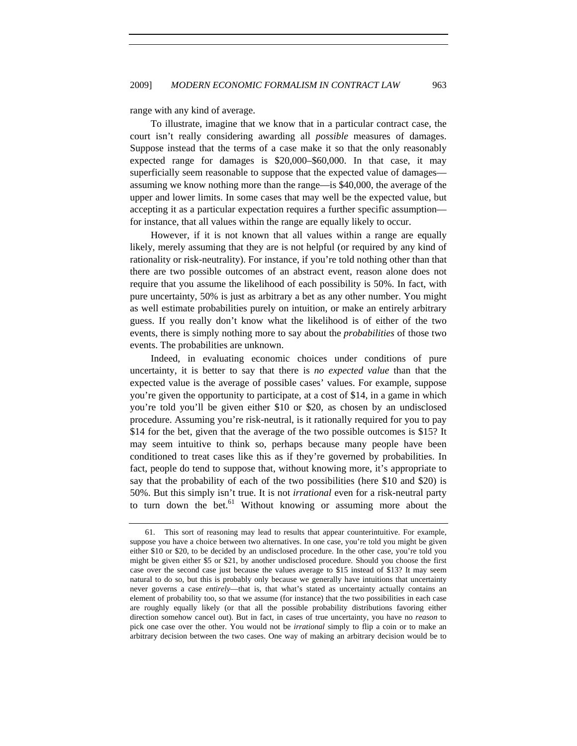range with any kind of average.

To illustrate, imagine that we know that in a particular contract case, the court isn't really considering awarding all *possible* measures of damages. Suppose instead that the terms of a case make it so that the only reasonably expected range for damages is \$20,000–\$60,000. In that case, it may superficially seem reasonable to suppose that the expected value of damages assuming we know nothing more than the range—is \$40,000, the average of the upper and lower limits. In some cases that may well be the expected value, but accepting it as a particular expectation requires a further specific assumption for instance, that all values within the range are equally likely to occur.

However, if it is not known that all values within a range are equally likely, merely assuming that they are is not helpful (or required by any kind of rationality or risk-neutrality). For instance, if you're told nothing other than that there are two possible outcomes of an abstract event, reason alone does not require that you assume the likelihood of each possibility is 50%. In fact, with pure uncertainty, 50% is just as arbitrary a bet as any other number. You might as well estimate probabilities purely on intuition, or make an entirely arbitrary guess. If you really don't know what the likelihood is of either of the two events, there is simply nothing more to say about the *probabilities* of those two events. The probabilities are unknown.

Indeed, in evaluating economic choices under conditions of pure uncertainty, it is better to say that there is *no expected value* than that the expected value is the average of possible cases' values. For example, suppose you're given the opportunity to participate, at a cost of \$14, in a game in which you're told you'll be given either \$10 or \$20, as chosen by an undisclosed procedure. Assuming you're risk-neutral, is it rationally required for you to pay \$14 for the bet, given that the average of the two possible outcomes is \$15? It may seem intuitive to think so, perhaps because many people have been conditioned to treat cases like this as if they're governed by probabilities. In fact, people do tend to suppose that, without knowing more, it's appropriate to say that the probability of each of the two possibilities (here \$10 and \$20) is 50%. But this simply isn't true. It is not *irrational* even for a risk-neutral party to turn down the bet. $61$  Without knowing or assuming more about the

<sup>61.</sup> This sort of reasoning may lead to results that appear counterintuitive. For example, suppose you have a choice between two alternatives. In one case, you're told you might be given either \$10 or \$20, to be decided by an undisclosed procedure. In the other case, you're told you might be given either \$5 or \$21, by another undisclosed procedure. Should you choose the first case over the second case just because the values average to \$15 instead of \$13? It may seem natural to do so, but this is probably only because we generally have intuitions that uncertainty never governs a case *entirely*—that is, that what's stated as uncertainty actually contains an element of probability too, so that we assume (for instance) that the two possibilities in each case are roughly equally likely (or that all the possible probability distributions favoring either direction somehow cancel out). But in fact, in cases of true uncertainty, you have no *reason* to pick one case over the other. You would not be *irrational* simply to flip a coin or to make an arbitrary decision between the two cases. One way of making an arbitrary decision would be to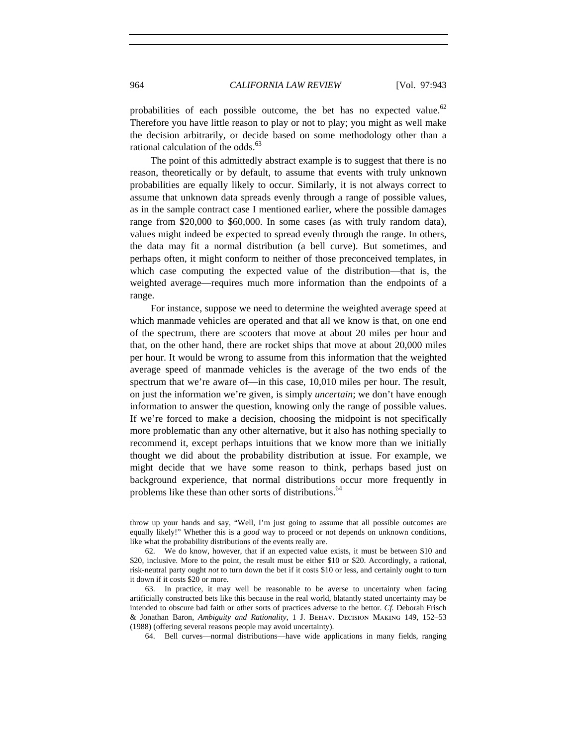probabilities of each possible outcome, the bet has no expected value.<sup>62</sup> Therefore you have little reason to play or not to play; you might as well make the decision arbitrarily, or decide based on some methodology other than a rational calculation of the odds. $63$ 

The point of this admittedly abstract example is to suggest that there is no reason, theoretically or by default, to assume that events with truly unknown probabilities are equally likely to occur. Similarly, it is not always correct to assume that unknown data spreads evenly through a range of possible values, as in the sample contract case I mentioned earlier, where the possible damages range from \$20,000 to \$60,000. In some cases (as with truly random data), values might indeed be expected to spread evenly through the range. In others, the data may fit a normal distribution (a bell curve). But sometimes, and perhaps often, it might conform to neither of those preconceived templates, in which case computing the expected value of the distribution—that is, the weighted average—requires much more information than the endpoints of a range.

For instance, suppose we need to determine the weighted average speed at which manmade vehicles are operated and that all we know is that, on one end of the spectrum, there are scooters that move at about 20 miles per hour and that, on the other hand, there are rocket ships that move at about 20,000 miles per hour. It would be wrong to assume from this information that the weighted average speed of manmade vehicles is the average of the two ends of the spectrum that we're aware of—in this case, 10,010 miles per hour. The result, on just the information we're given, is simply *uncertain*; we don't have enough information to answer the question, knowing only the range of possible values. If we're forced to make a decision, choosing the midpoint is not specifically more problematic than any other alternative, but it also has nothing specially to recommend it, except perhaps intuitions that we know more than we initially thought we did about the probability distribution at issue. For example, we might decide that we have some reason to think, perhaps based just on background experience, that normal distributions occur more frequently in problems like these than other sorts of distributions.<sup>64</sup>

throw up your hands and say, "Well, I'm just going to assume that all possible outcomes are equally likely!" Whether this is a *good* way to proceed or not depends on unknown conditions, like what the probability distributions of the events really are.

<sup>62.</sup> We do know, however, that if an expected value exists, it must be between \$10 and \$20, inclusive. More to the point, the result must be either \$10 or \$20. Accordingly, a rational, risk-neutral party ought *not* to turn down the bet if it costs \$10 or less, and certainly ought to turn it down if it costs \$20 or more.

<sup>63.</sup> In practice, it may well be reasonable to be averse to uncertainty when facing artificially constructed bets like this because in the real world, blatantly stated uncertainty may be intended to obscure bad faith or other sorts of practices adverse to the bettor. *Cf.* Deborah Frisch & Jonathan Baron, *Ambiguity and Rationality*, 1 J. Behav. Decision Making 149, 152–53 (1988) (offering several reasons people may avoid uncertainty).

<sup>64.</sup> Bell curves—normal distributions—have wide applications in many fields, ranging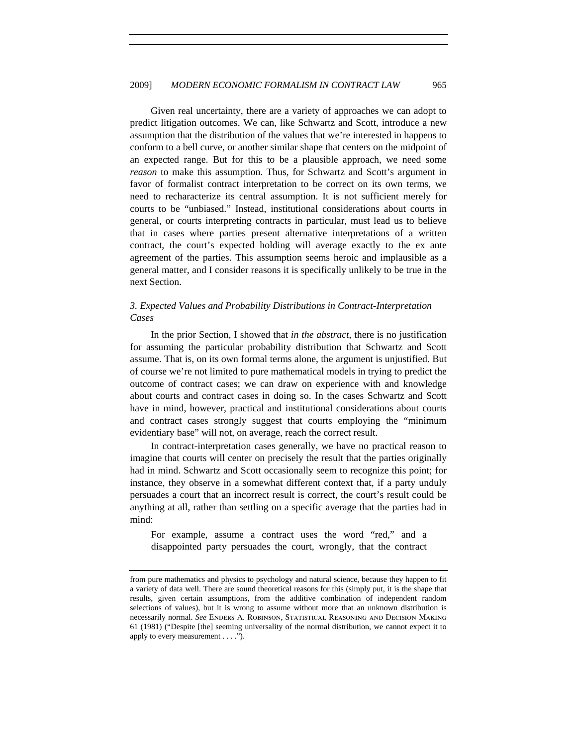Given real uncertainty, there are a variety of approaches we can adopt to predict litigation outcomes. We can, like Schwartz and Scott, introduce a new assumption that the distribution of the values that we're interested in happens to conform to a bell curve, or another similar shape that centers on the midpoint of an expected range. But for this to be a plausible approach, we need some *reason* to make this assumption. Thus, for Schwartz and Scott's argument in favor of formalist contract interpretation to be correct on its own terms, we need to recharacterize its central assumption. It is not sufficient merely for courts to be "unbiased." Instead, institutional considerations about courts in general, or courts interpreting contracts in particular, must lead us to believe that in cases where parties present alternative interpretations of a written contract, the court's expected holding will average exactly to the ex ante agreement of the parties. This assumption seems heroic and implausible as a general matter, and I consider reasons it is specifically unlikely to be true in the next Section.

# *3. Expected Values and Probability Distributions in Contract-Interpretation Cases*

In the prior Section, I showed that *in the abstract*, there is no justification for assuming the particular probability distribution that Schwartz and Scott assume. That is, on its own formal terms alone, the argument is unjustified. But of course we're not limited to pure mathematical models in trying to predict the outcome of contract cases; we can draw on experience with and knowledge about courts and contract cases in doing so. In the cases Schwartz and Scott have in mind, however, practical and institutional considerations about courts and contract cases strongly suggest that courts employing the "minimum evidentiary base" will not, on average, reach the correct result.

In contract-interpretation cases generally, we have no practical reason to imagine that courts will center on precisely the result that the parties originally had in mind. Schwartz and Scott occasionally seem to recognize this point; for instance, they observe in a somewhat different context that, if a party unduly persuades a court that an incorrect result is correct, the court's result could be anything at all, rather than settling on a specific average that the parties had in mind:

For example, assume a contract uses the word "red," and a disappointed party persuades the court, wrongly, that the contract

from pure mathematics and physics to psychology and natural science, because they happen to fit a variety of data well. There are sound theoretical reasons for this (simply put, it is the shape that results, given certain assumptions, from the additive combination of independent random selections of values), but it is wrong to assume without more that an unknown distribution is necessarily normal. *See* Enders A. Robinson, Statistical Reasoning and Decision Making 61 (1981) ("Despite [the] seeming universality of the normal distribution, we cannot expect it to apply to every measurement . . . .").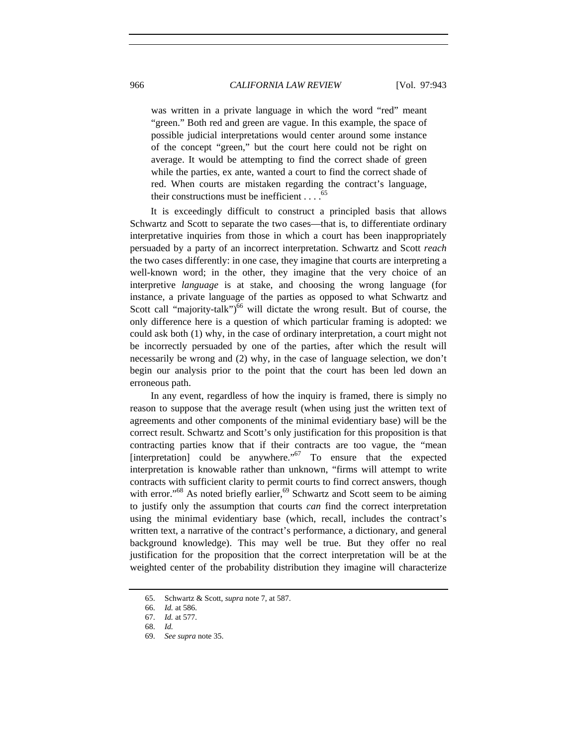was written in a private language in which the word "red" meant "green." Both red and green are vague. In this example, the space of possible judicial interpretations would center around some instance of the concept "green," but the court here could not be right on average. It would be attempting to find the correct shade of green while the parties, ex ante, wanted a court to find the correct shade of red. When courts are mistaken regarding the contract's language, their constructions must be inefficient  $\ldots$ .<sup>65</sup>

It is exceedingly difficult to construct a principled basis that allows Schwartz and Scott to separate the two cases—that is, to differentiate ordinary interpretative inquiries from those in which a court has been inappropriately persuaded by a party of an incorrect interpretation. Schwartz and Scott *reach* the two cases differently: in one case, they imagine that courts are interpreting a well-known word; in the other, they imagine that the very choice of an interpretive *language* is at stake, and choosing the wrong language (for instance, a private language of the parties as opposed to what Schwartz and Scott call "majority-talk")<sup>66</sup> will dictate the wrong result. But of course, the only difference here is a question of which particular framing is adopted: we could ask both (1) why, in the case of ordinary interpretation, a court might not be incorrectly persuaded by one of the parties, after which the result will necessarily be wrong and (2) why, in the case of language selection, we don't begin our analysis prior to the point that the court has been led down an erroneous path.

In any event, regardless of how the inquiry is framed, there is simply no reason to suppose that the average result (when using just the written text of agreements and other components of the minimal evidentiary base) will be the correct result. Schwartz and Scott's only justification for this proposition is that contracting parties know that if their contracts are too vague, the "mean  $[interpretation]$  could be anywhere."<sup>67</sup> To ensure that the expected interpretation is knowable rather than unknown, "firms will attempt to write contracts with sufficient clarity to permit courts to find correct answers, though with error."<sup>68</sup> As noted briefly earlier,  $69$  Schwartz and Scott seem to be aiming to justify only the assumption that courts *can* find the correct interpretation using the minimal evidentiary base (which, recall, includes the contract's written text, a narrative of the contract's performance, a dictionary, and general background knowledge). This may well be true. But they offer no real justification for the proposition that the correct interpretation will be at the weighted center of the probability distribution they imagine will characterize

<sup>65.</sup> Schwartz & Scott, *supra* note 7, at 587.

<sup>66.</sup> *Id.* at 586.

<sup>67.</sup> *Id.* at 577.

<sup>68.</sup> *Id.*

<sup>69.</sup> *See supra* note 35.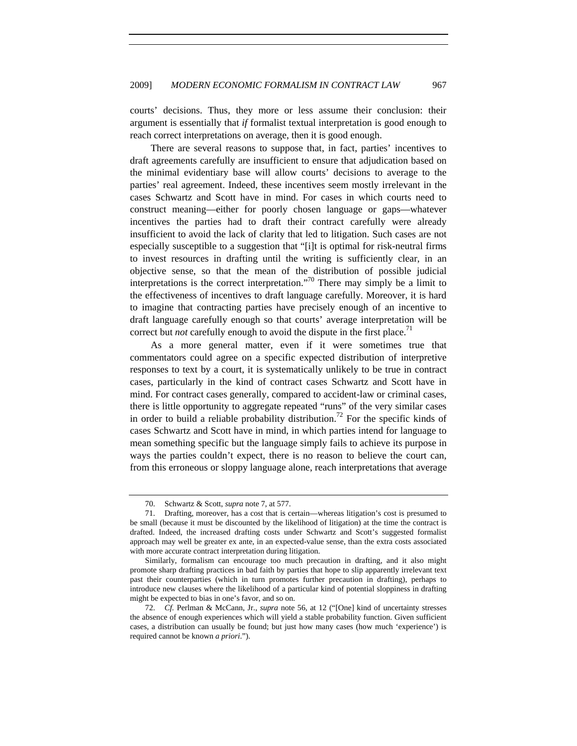courts' decisions. Thus, they more or less assume their conclusion: their argument is essentially that *if* formalist textual interpretation is good enough to reach correct interpretations on average, then it is good enough.

There are several reasons to suppose that, in fact, parties' incentives to draft agreements carefully are insufficient to ensure that adjudication based on the minimal evidentiary base will allow courts' decisions to average to the parties' real agreement. Indeed, these incentives seem mostly irrelevant in the cases Schwartz and Scott have in mind. For cases in which courts need to construct meaning—either for poorly chosen language or gaps—whatever incentives the parties had to draft their contract carefully were already insufficient to avoid the lack of clarity that led to litigation. Such cases are not especially susceptible to a suggestion that "[i]t is optimal for risk-neutral firms to invest resources in drafting until the writing is sufficiently clear, in an objective sense, so that the mean of the distribution of possible judicial interpretations is the correct interpretation."<sup>70</sup> There may simply be a limit to the effectiveness of incentives to draft language carefully. Moreover, it is hard to imagine that contracting parties have precisely enough of an incentive to draft language carefully enough so that courts' average interpretation will be correct but *not* carefully enough to avoid the dispute in the first place.<sup> $1$ </sup>

As a more general matter, even if it were sometimes true that commentators could agree on a specific expected distribution of interpretive responses to text by a court, it is systematically unlikely to be true in contract cases, particularly in the kind of contract cases Schwartz and Scott have in mind. For contract cases generally, compared to accident-law or criminal cases, there is little opportunity to aggregate repeated "runs" of the very similar cases in order to build a reliable probability distribution.<sup>72</sup> For the specific kinds of cases Schwartz and Scott have in mind, in which parties intend for language to mean something specific but the language simply fails to achieve its purpose in ways the parties couldn't expect, there is no reason to believe the court can, from this erroneous or sloppy language alone, reach interpretations that average

<sup>70.</sup> Schwartz & Scott, *supra* note 7, at 577.

<sup>71.</sup> Drafting, moreover, has a cost that is certain—whereas litigation's cost is presumed to be small (because it must be discounted by the likelihood of litigation) at the time the contract is drafted. Indeed, the increased drafting costs under Schwartz and Scott's suggested formalist approach may well be greater ex ante, in an expected-value sense, than the extra costs associated with more accurate contract interpretation during litigation.

Similarly, formalism can encourage too much precaution in drafting, and it also might promote sharp drafting practices in bad faith by parties that hope to slip apparently irrelevant text past their counterparties (which in turn promotes further precaution in drafting), perhaps to introduce new clauses where the likelihood of a particular kind of potential sloppiness in drafting might be expected to bias in one's favor, and so on.

<sup>72.</sup> *Cf.* Perlman & McCann, Jr., *supra* note 56, at 12 ("[One] kind of uncertainty stresses the absence of enough experiences which will yield a stable probability function. Given sufficient cases, a distribution can usually be found; but just how many cases (how much 'experience') is required cannot be known *a priori*.").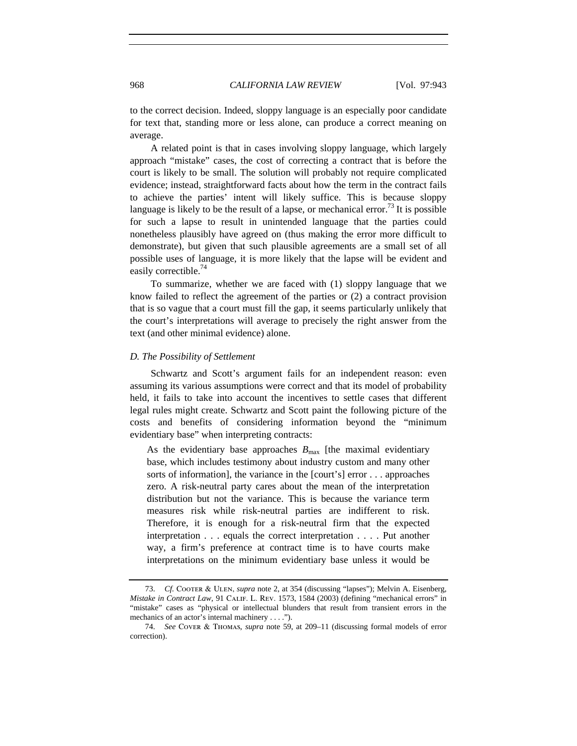to the correct decision. Indeed, sloppy language is an especially poor candidate for text that, standing more or less alone, can produce a correct meaning on average.

A related point is that in cases involving sloppy language, which largely approach "mistake" cases, the cost of correcting a contract that is before the court is likely to be small. The solution will probably not require complicated evidence; instead, straightforward facts about how the term in the contract fails to achieve the parties' intent will likely suffice. This is because sloppy language is likely to be the result of a lapse, or mechanical error.<sup>73</sup> It is possible for such a lapse to result in unintended language that the parties could nonetheless plausibly have agreed on (thus making the error more difficult to demonstrate), but given that such plausible agreements are a small set of all possible uses of language, it is more likely that the lapse will be evident and easily correctible.<sup>74</sup>

To summarize, whether we are faced with (1) sloppy language that we know failed to reflect the agreement of the parties or (2) a contract provision that is so vague that a court must fill the gap, it seems particularly unlikely that the court's interpretations will average to precisely the right answer from the text (and other minimal evidence) alone.

#### *D. The Possibility of Settlement*

Schwartz and Scott's argument fails for an independent reason: even assuming its various assumptions were correct and that its model of probability held, it fails to take into account the incentives to settle cases that different legal rules might create. Schwartz and Scott paint the following picture of the costs and benefits of considering information beyond the "minimum evidentiary base" when interpreting contracts:

As the evidentiary base approaches  $B_{\text{max}}$  [the maximal evidentiary base, which includes testimony about industry custom and many other sorts of information], the variance in the [court's] error . . . approaches zero. A risk-neutral party cares about the mean of the interpretation distribution but not the variance. This is because the variance term measures risk while risk-neutral parties are indifferent to risk. Therefore, it is enough for a risk-neutral firm that the expected interpretation . . . equals the correct interpretation . . . . Put another way, a firm's preference at contract time is to have courts make interpretations on the minimum evidentiary base unless it would be

<sup>73.</sup> *Cf.* Cooter & Ulen, *supra* note 2, at 354 (discussing "lapses"); Melvin A. Eisenberg, *Mistake in Contract Law*, 91 Calif. L. Rev. 1573, 1584 (2003) (defining "mechanical errors" in "mistake" cases as "physical or intellectual blunders that result from transient errors in the mechanics of an actor's internal machinery . . . .").

<sup>74.</sup> *See* Cover & Thomas, *supra* note 59, at 209–11 (discussing formal models of error correction).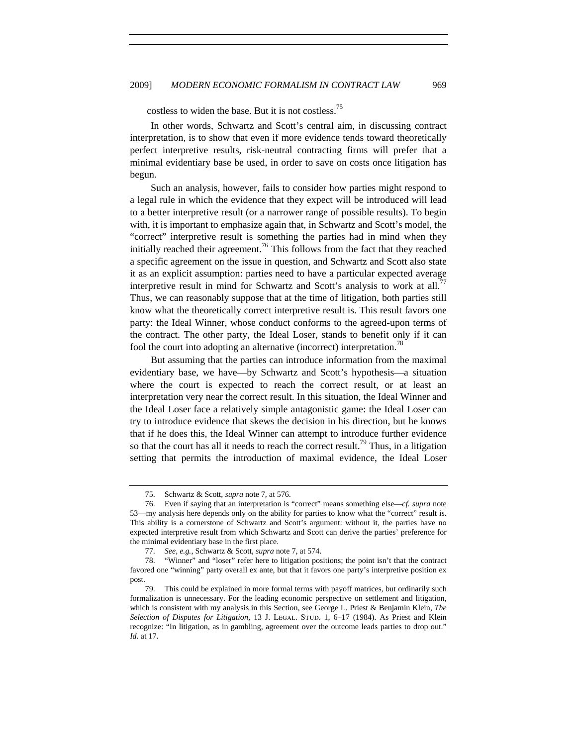costless to widen the base. But it is not costless.75

In other words, Schwartz and Scott's central aim, in discussing contract interpretation, is to show that even if more evidence tends toward theoretically perfect interpretive results, risk-neutral contracting firms will prefer that a minimal evidentiary base be used, in order to save on costs once litigation has begun.

Such an analysis, however, fails to consider how parties might respond to a legal rule in which the evidence that they expect will be introduced will lead to a better interpretive result (or a narrower range of possible results). To begin with, it is important to emphasize again that, in Schwartz and Scott's model, the "correct" interpretive result is something the parties had in mind when they initially reached their agreement.<sup>76</sup> This follows from the fact that they reached a specific agreement on the issue in question, and Schwartz and Scott also state it as an explicit assumption: parties need to have a particular expected average interpretive result in mind for Schwartz and Scott's analysis to work at all.<sup>77</sup> Thus, we can reasonably suppose that at the time of litigation, both parties still know what the theoretically correct interpretive result is. This result favors one party: the Ideal Winner, whose conduct conforms to the agreed-upon terms of the contract. The other party, the Ideal Loser, stands to benefit only if it can fool the court into adopting an alternative (incorrect) interpretation.<sup>78</sup>

But assuming that the parties can introduce information from the maximal evidentiary base, we have—by Schwartz and Scott's hypothesis—a situation where the court is expected to reach the correct result, or at least an interpretation very near the correct result. In this situation, the Ideal Winner and the Ideal Loser face a relatively simple antagonistic game: the Ideal Loser can try to introduce evidence that skews the decision in his direction, but he knows that if he does this, the Ideal Winner can attempt to introduce further evidence so that the court has all it needs to reach the correct result.<sup>79</sup> Thus, in a litigation setting that permits the introduction of maximal evidence, the Ideal Loser

<sup>75.</sup> Schwartz & Scott, *supra* note 7, at 576.

<sup>76.</sup> Even if saying that an interpretation is "correct" means something else—*cf. supra* note 53—my analysis here depends only on the ability for parties to know what the "correct" result is. This ability is a cornerstone of Schwartz and Scott's argument: without it, the parties have no expected interpretive result from which Schwartz and Scott can derive the parties' preference for the minimal evidentiary base in the first place.

<sup>77.</sup> *See, e.g.*, Schwartz & Scott, *supra* note 7, at 574.

<sup>78. &</sup>quot;Winner" and "loser" refer here to litigation positions; the point isn't that the contract favored one "winning" party overall ex ante, but that it favors one party's interpretive position ex post.

<sup>79.</sup> This could be explained in more formal terms with payoff matrices, but ordinarily such formalization is unnecessary. For the leading economic perspective on settlement and litigation, which is consistent with my analysis in this Section, see George L. Priest & Benjamin Klein, *The*  Selection of Disputes for Litigation, 13 J. LEGAL. STUD. 1, 6–17 (1984). As Priest and Klein recognize: "In litigation, as in gambling, agreement over the outcome leads parties to drop out." *Id.* at 17.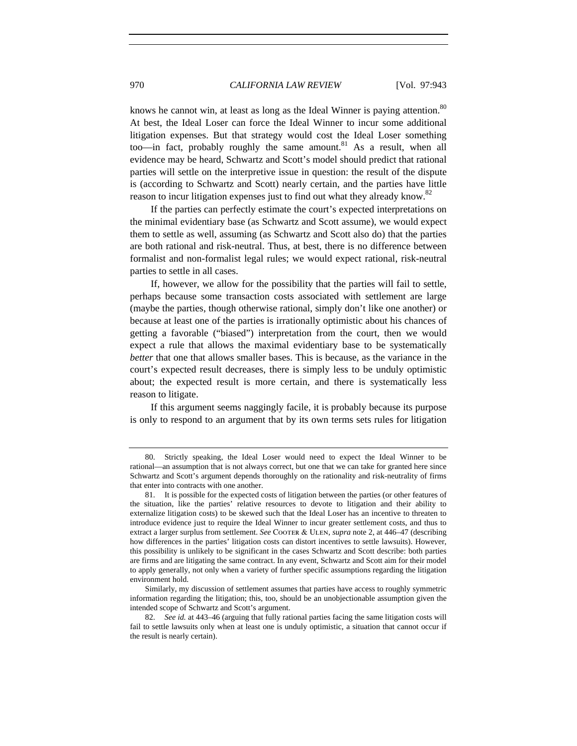knows he cannot win, at least as long as the Ideal Winner is paying attention.<sup>80</sup> At best, the Ideal Loser can force the Ideal Winner to incur some additional litigation expenses. But that strategy would cost the Ideal Loser something too—in fact, probably roughly the same amount.<sup>81</sup> As a result, when all evidence may be heard, Schwartz and Scott's model should predict that rational parties will settle on the interpretive issue in question: the result of the dispute is (according to Schwartz and Scott) nearly certain, and the parties have little reason to incur litigation expenses just to find out what they already know.<sup>82</sup>

If the parties can perfectly estimate the court's expected interpretations on the minimal evidentiary base (as Schwartz and Scott assume), we would expect them to settle as well, assuming (as Schwartz and Scott also do) that the parties are both rational and risk-neutral. Thus, at best, there is no difference between formalist and non-formalist legal rules; we would expect rational, risk-neutral parties to settle in all cases.

If, however, we allow for the possibility that the parties will fail to settle, perhaps because some transaction costs associated with settlement are large (maybe the parties, though otherwise rational, simply don't like one another) or because at least one of the parties is irrationally optimistic about his chances of getting a favorable ("biased") interpretation from the court, then we would expect a rule that allows the maximal evidentiary base to be systematically *better* that one that allows smaller bases. This is because, as the variance in the court's expected result decreases, there is simply less to be unduly optimistic about; the expected result is more certain, and there is systematically less reason to litigate.

If this argument seems naggingly facile, it is probably because its purpose is only to respond to an argument that by its own terms sets rules for litigation

<sup>80.</sup> Strictly speaking, the Ideal Loser would need to expect the Ideal Winner to be rational—an assumption that is not always correct, but one that we can take for granted here since Schwartz and Scott's argument depends thoroughly on the rationality and risk-neutrality of firms that enter into contracts with one another.

<sup>81.</sup> It is possible for the expected costs of litigation between the parties (or other features of the situation, like the parties' relative resources to devote to litigation and their ability to externalize litigation costs) to be skewed such that the Ideal Loser has an incentive to threaten to introduce evidence just to require the Ideal Winner to incur greater settlement costs, and thus to extract a larger surplus from settlement. *See* COOTER & ULEN, *supra* note 2, at 446–47 (describing how differences in the parties' litigation costs can distort incentives to settle lawsuits). However, this possibility is unlikely to be significant in the cases Schwartz and Scott describe: both parties are firms and are litigating the same contract. In any event, Schwartz and Scott aim for their model to apply generally, not only when a variety of further specific assumptions regarding the litigation environment hold.

Similarly, my discussion of settlement assumes that parties have access to roughly symmetric information regarding the litigation; this, too, should be an unobjectionable assumption given the intended scope of Schwartz and Scott's argument.

<sup>82.</sup> *See id.* at 443–46 (arguing that fully rational parties facing the same litigation costs will fail to settle lawsuits only when at least one is unduly optimistic, a situation that cannot occur if the result is nearly certain).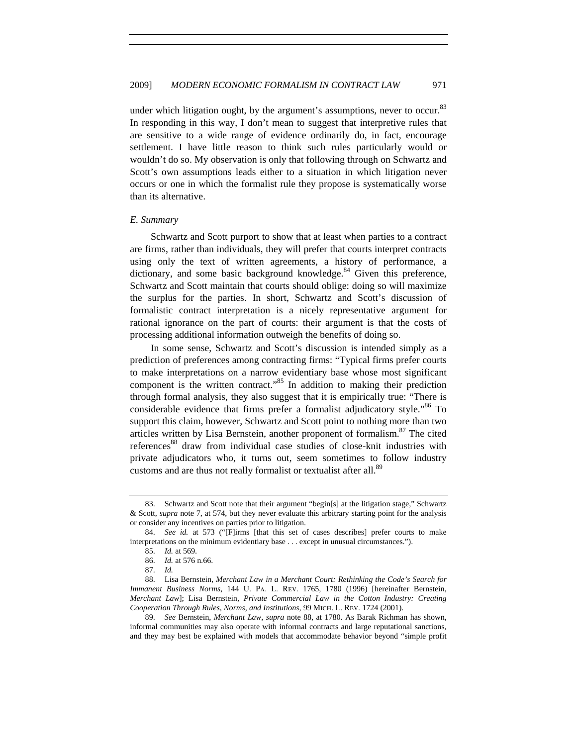under which litigation ought, by the argument's assumptions, never to occur.<sup>83</sup> In responding in this way, I don't mean to suggest that interpretive rules that are sensitive to a wide range of evidence ordinarily do, in fact, encourage settlement. I have little reason to think such rules particularly would or wouldn't do so. My observation is only that following through on Schwartz and Scott's own assumptions leads either to a situation in which litigation never occurs or one in which the formalist rule they propose is systematically worse than its alternative.

#### *E. Summary*

Schwartz and Scott purport to show that at least when parties to a contract are firms, rather than individuals, they will prefer that courts interpret contracts using only the text of written agreements, a history of performance, a dictionary, and some basic background knowledge.<sup>84</sup> Given this preference, Schwartz and Scott maintain that courts should oblige: doing so will maximize the surplus for the parties. In short, Schwartz and Scott's discussion of formalistic contract interpretation is a nicely representative argument for rational ignorance on the part of courts: their argument is that the costs of processing additional information outweigh the benefits of doing so.

In some sense, Schwartz and Scott's discussion is intended simply as a prediction of preferences among contracting firms: "Typical firms prefer courts to make interpretations on a narrow evidentiary base whose most significant component is the written contract.<sup> $35$ </sup> In addition to making their prediction through formal analysis, they also suggest that it is empirically true: "There is considerable evidence that firms prefer a formalist adjudicatory style.<sup> $86$ </sup> To support this claim, however, Schwartz and Scott point to nothing more than two articles written by Lisa Bernstein, another proponent of formalism.87 The cited references<sup>88</sup> draw from individual case studies of close-knit industries with private adjudicators who, it turns out, seem sometimes to follow industry customs and are thus not really formalist or textualist after all.<sup>89</sup>

<sup>83.</sup> Schwartz and Scott note that their argument "begin[s] at the litigation stage," Schwartz & Scott, *supra* note 7, at 574, but they never evaluate this arbitrary starting point for the analysis or consider any incentives on parties prior to litigation.

<sup>84.</sup> *See id.* at 573 ("[F]irms [that this set of cases describes] prefer courts to make interpretations on the minimum evidentiary base . . . except in unusual circumstances.").

<sup>85.</sup> *Id.* at 569.

<sup>86.</sup> *Id.* at 576 n.66.

<sup>87.</sup> *Id.*

<sup>88.</sup> Lisa Bernstein, *Merchant Law in a Merchant Court: Rethinking the Code's Search for Immanent Business Norms*, 144 U. Pa. L. Rev. 1765, 1780 (1996) [hereinafter Bernstein, *Merchant Law*]; Lisa Bernstein, *Private Commercial Law in the Cotton Industry: Creating Cooperation Through Rules, Norms, and Institutions*, 99 Mich. L. Rev. 1724 (2001).

<sup>89.</sup> *See* Bernstein, *Merchant Law*, *supra* note 88, at 1780. As Barak Richman has shown, informal communities may also operate with informal contracts and large reputational sanctions, and they may best be explained with models that accommodate behavior beyond "simple profit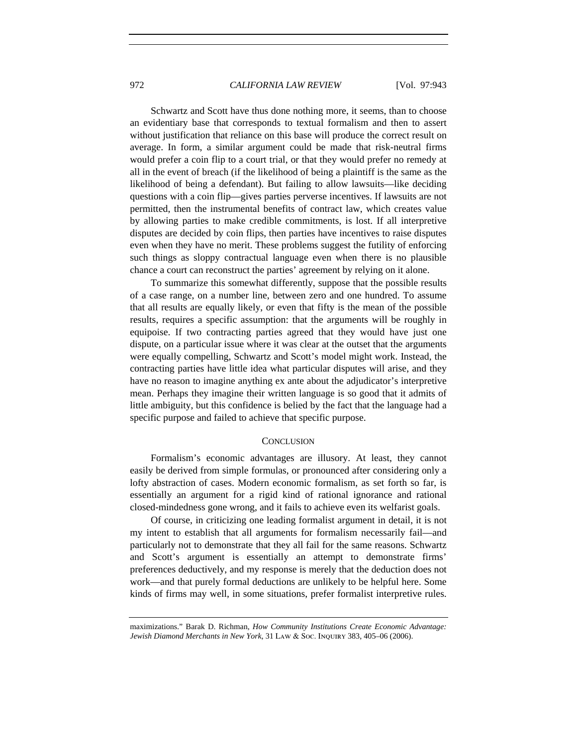Schwartz and Scott have thus done nothing more, it seems, than to choose an evidentiary base that corresponds to textual formalism and then to assert without justification that reliance on this base will produce the correct result on average. In form, a similar argument could be made that risk-neutral firms would prefer a coin flip to a court trial, or that they would prefer no remedy at all in the event of breach (if the likelihood of being a plaintiff is the same as the likelihood of being a defendant). But failing to allow lawsuits—like deciding questions with a coin flip—gives parties perverse incentives. If lawsuits are not permitted, then the instrumental benefits of contract law, which creates value by allowing parties to make credible commitments, is lost. If all interpretive disputes are decided by coin flips, then parties have incentives to raise disputes even when they have no merit. These problems suggest the futility of enforcing such things as sloppy contractual language even when there is no plausible chance a court can reconstruct the parties' agreement by relying on it alone.

To summarize this somewhat differently, suppose that the possible results of a case range, on a number line, between zero and one hundred. To assume that all results are equally likely, or even that fifty is the mean of the possible results, requires a specific assumption: that the arguments will be roughly in equipoise. If two contracting parties agreed that they would have just one dispute, on a particular issue where it was clear at the outset that the arguments were equally compelling, Schwartz and Scott's model might work. Instead, the contracting parties have little idea what particular disputes will arise, and they have no reason to imagine anything ex ante about the adjudicator's interpretive mean. Perhaps they imagine their written language is so good that it admits of little ambiguity, but this confidence is belied by the fact that the language had a specific purpose and failed to achieve that specific purpose.

#### **CONCLUSION**

Formalism's economic advantages are illusory. At least, they cannot easily be derived from simple formulas, or pronounced after considering only a lofty abstraction of cases. Modern economic formalism, as set forth so far, is essentially an argument for a rigid kind of rational ignorance and rational closed-mindedness gone wrong, and it fails to achieve even its welfarist goals.

Of course, in criticizing one leading formalist argument in detail, it is not my intent to establish that all arguments for formalism necessarily fail—and particularly not to demonstrate that they all fail for the same reasons. Schwartz and Scott's argument is essentially an attempt to demonstrate firms' preferences deductively, and my response is merely that the deduction does not work—and that purely formal deductions are unlikely to be helpful here. Some kinds of firms may well, in some situations, prefer formalist interpretive rules.

maximizations." Barak D. Richman, *How Community Institutions Create Economic Advantage: Jewish Diamond Merchants in New York*, 31 Law & Soc. Inquiry 383, 405–06 (2006).